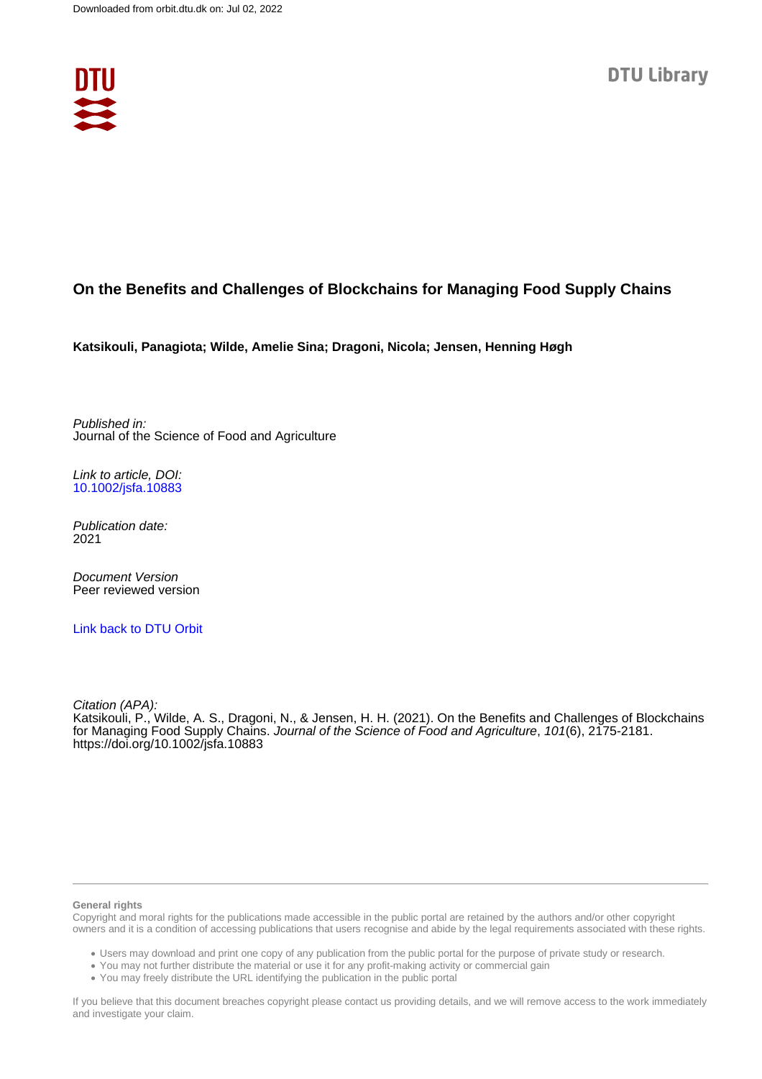

## **On the Benefits and Challenges of Blockchains for Managing Food Supply Chains**

**Katsikouli, Panagiota; Wilde, Amelie Sina; Dragoni, Nicola; Jensen, Henning Høgh**

Published in: Journal of the Science of Food and Agriculture

Link to article, DOI: [10.1002/jsfa.10883](https://doi.org/10.1002/jsfa.10883)

Publication date: 2021

Document Version Peer reviewed version

[Link back to DTU Orbit](https://orbit.dtu.dk/en/publications/0738e193-4db9-4eef-ac59-98defe59e2e4)

Citation (APA): Katsikouli, P., Wilde, A. S., Dragoni, N., & Jensen, H. H. (2021). On the Benefits and Challenges of Blockchains for Managing Food Supply Chains. Journal of the Science of Food and Agriculture, 101(6), 2175-2181. <https://doi.org/10.1002/jsfa.10883>

#### **General rights**

Copyright and moral rights for the publications made accessible in the public portal are retained by the authors and/or other copyright owners and it is a condition of accessing publications that users recognise and abide by the legal requirements associated with these rights.

Users may download and print one copy of any publication from the public portal for the purpose of private study or research.

- You may not further distribute the material or use it for any profit-making activity or commercial gain
- You may freely distribute the URL identifying the publication in the public portal

If you believe that this document breaches copyright please contact us providing details, and we will remove access to the work immediately and investigate your claim.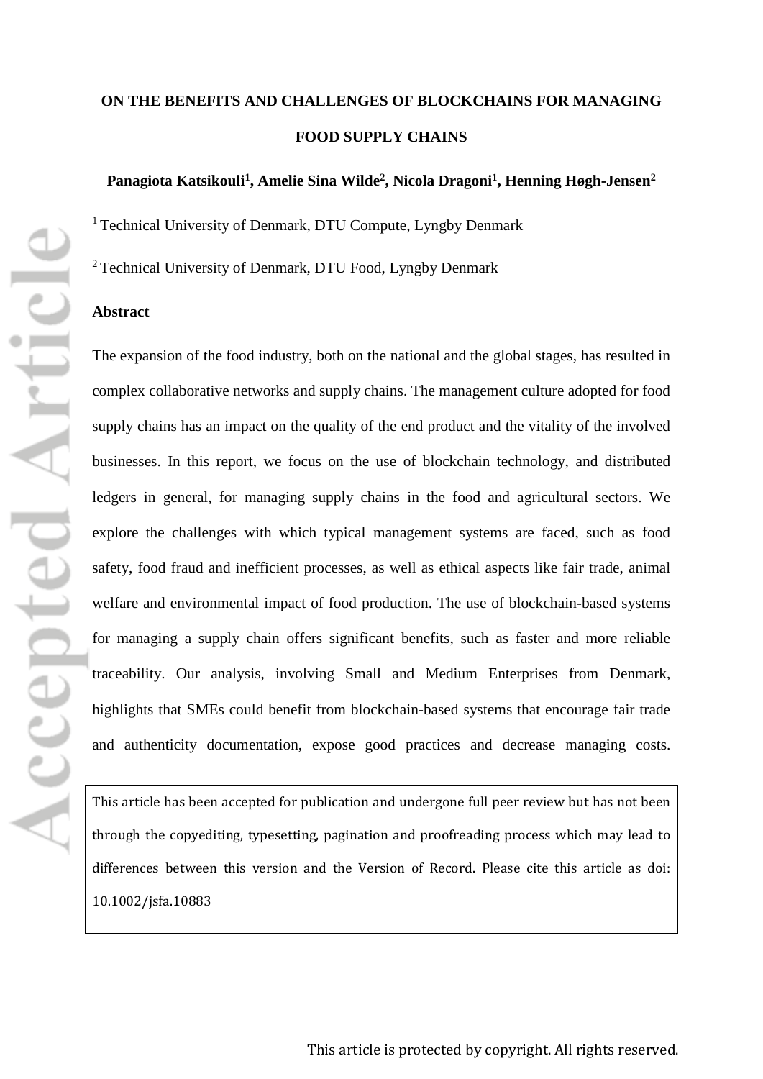# **ON THE BENEFITS AND CHALLENGES OF BLOCKCHAINS FOR MANAGING FOOD SUPPLY CHAINS**

## Panagiota Katsikouli<sup>1</sup>, Amelie Sina Wilde<sup>2</sup>, Nicola Dragoni<sup>1</sup>, Henning Høgh-Jensen<sup>2</sup>

<sup>1</sup> Technical University of Denmark, DTU Compute, Lyngby Denmark

2 Technical University of Denmark, DTU Food, Lyngby Denmark

## **Abstract**

The expansion of the food industry, both on the national and the global stages, has resulted in complex collaborative networks and supply chains. The management culture adopted for food supply chains has an impact on the quality of the end product and the vitality of the involved businesses. In this report, we focus on the use of blockchain technology, and distributed ledgers in general, for managing supply chains in the food and agricultural sectors. We explore the challenges with which typical management systems are faced, such as food safety, food fraud and inefficient processes, as well as ethical aspects like fair trade, animal welfare and environmental impact of food production. The use of blockchain-based systems for managing a supply chain offers significant benefits, such as faster and more reliable traceability. Our analysis, involving Small and Medium Enterprises from Denmark, highlights that SMEs could benefit from blockchain-based systems that encourage fair trade and authenticity documentation, expose good practices and decrease managing costs.

[This article has been accepted for publication and undergone full peer review but has not been](http://dx.doi.org/10.1002/jsfa.10883)  [through the copyediting, typesetting, pagination and proofreading process which may lead to](http://dx.doi.org/10.1002/jsfa.10883)  [differences between this version and the Version of Record. Please cite this article as doi:](http://dx.doi.org/10.1002/jsfa.10883)  [10.1002/jsfa.10883](http://dx.doi.org/10.1002/jsfa.10883)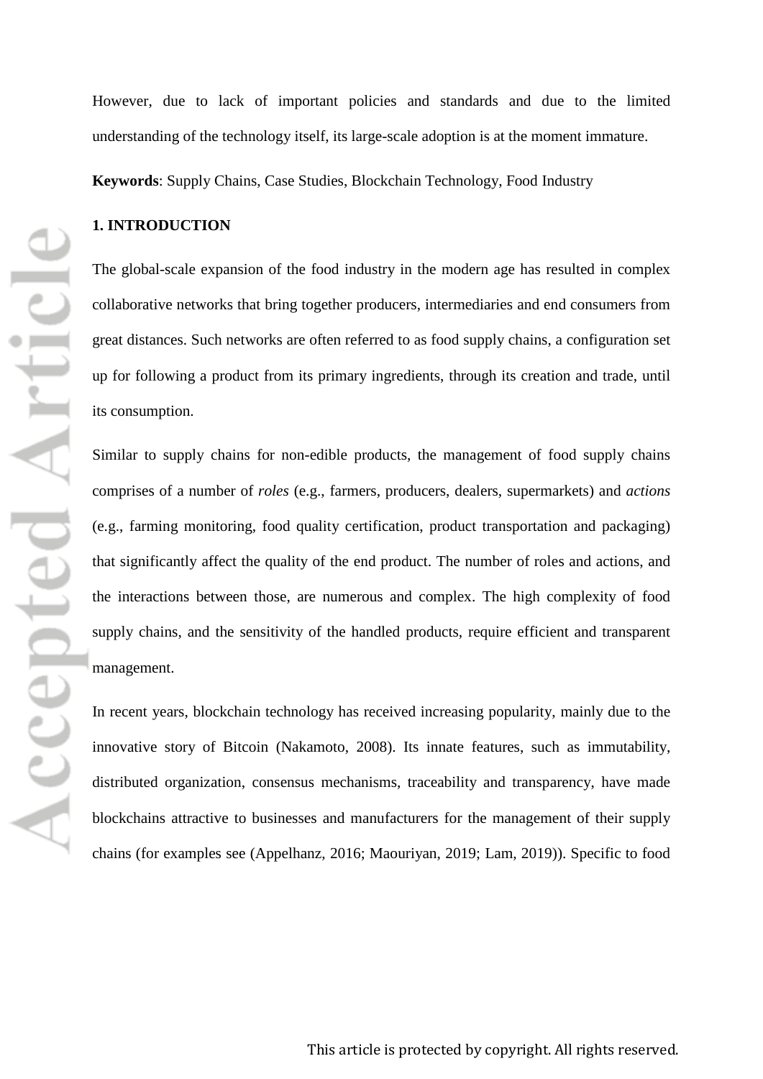However, due to lack of important policies and standards and due to the limited understanding of the technology itself, its large-scale adoption is at the moment immature.

**Keywords**: Supply Chains, Case Studies, Blockchain Technology, Food Industry

## **1. INTRODUCTION**

The global-scale expansion of the food industry in the modern age has resulted in complex collaborative networks that bring together producers, intermediaries and end consumers from great distances. Such networks are often referred to as food supply chains, a configuration set up for following a product from its primary ingredients, through its creation and trade, until its consumption.

Similar to supply chains for non-edible products, the management of food supply chains comprises of a number of *roles* (e.g., farmers, producers, dealers, supermarkets) and *actions* (e.g., farming monitoring, food quality certification, product transportation and packaging) that significantly affect the quality of the end product. The number of roles and actions, and the interactions between those, are numerous and complex. The high complexity of food supply chains, and the sensitivity of the handled products, require efficient and transparent management.

In recent years, blockchain technology has received increasing popularity, mainly due to the innovative story of Bitcoin (Nakamoto, 2008). Its innate features, such as immutability, distributed organization, consensus mechanisms, traceability and transparency, have made blockchains attractive to businesses and manufacturers for the management of their supply chains (for examples see (Appelhanz, 2016; Maouriyan, 2019; Lam, 2019)). Specific to food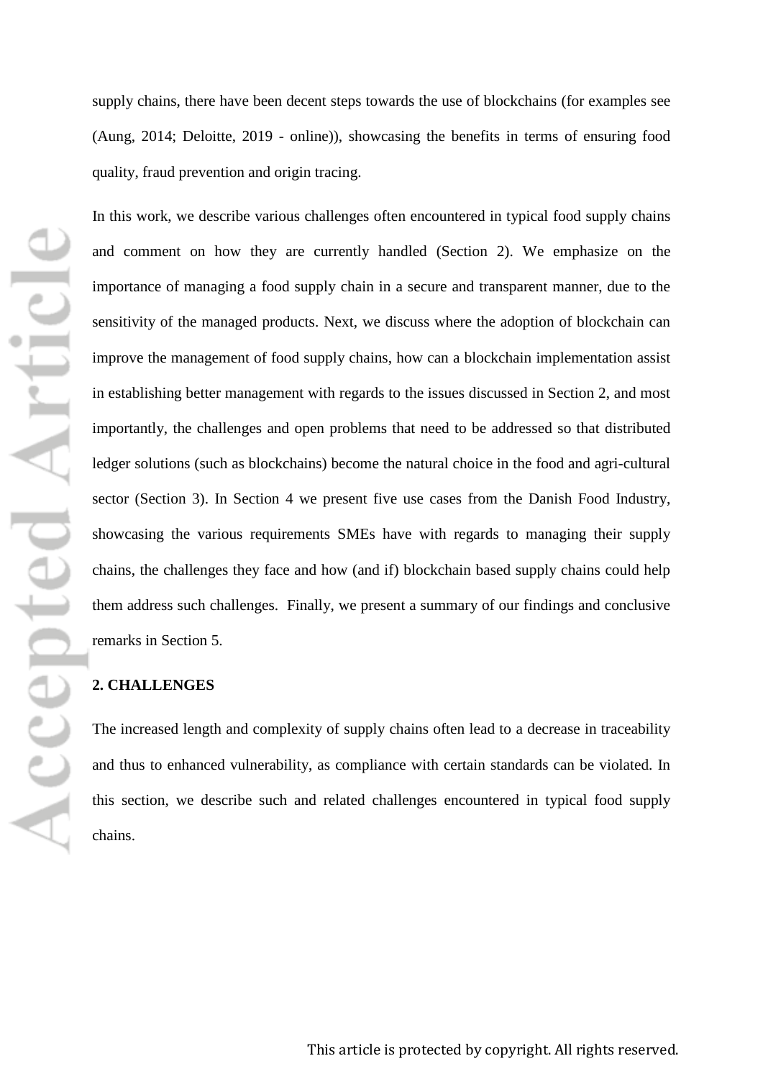supply chains, there have been decent steps towards the use of blockchains (for examples see (Aung, 2014; Deloitte, 2019 - online)), showcasing the benefits in terms of ensuring food quality, fraud prevention and origin tracing.

In this work, we describe various challenges often encountered in typical food supply chains and comment on how they are currently handled (Section 2). We emphasize on the importance of managing a food supply chain in a secure and transparent manner, due to the sensitivity of the managed products. Next, we discuss where the adoption of blockchain can improve the management of food supply chains, how can a blockchain implementation assist in establishing better management with regards to the issues discussed in Section 2, and most importantly, the challenges and open problems that need to be addressed so that distributed ledger solutions (such as blockchains) become the natural choice in the food and agri-cultural sector (Section 3). In Section 4 we present five use cases from the Danish Food Industry, showcasing the various requirements SMEs have with regards to managing their supply chains, the challenges they face and how (and if) blockchain based supply chains could help them address such challenges. Finally, we present a summary of our findings and conclusive remarks in Section 5.

## **2. CHALLENGES**

The increased length and complexity of supply chains often lead to a decrease in traceability and thus to enhanced vulnerability, as compliance with certain standards can be violated. In this section, we describe such and related challenges encountered in typical food supply chains.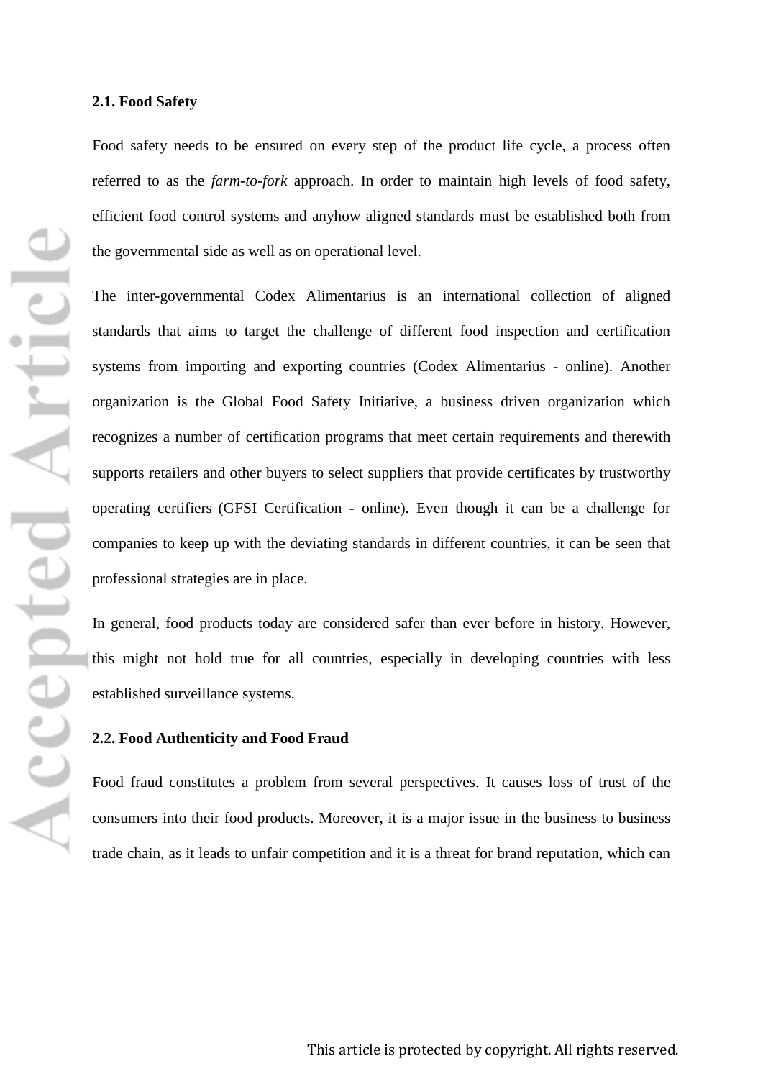#### **2.1. Food Safety**

Food safety needs to be ensured on every step of the product life cycle, a process often referred to as the *farm-to-fork* approach. In order to maintain high levels of food safety, efficient food control systems and anyhow aligned standards must be established both from the governmental side as well as on operational level.

The inter-governmental Codex Alimentarius is an international collection of aligned standards that aims to target the challenge of different food inspection and certification systems from importing and exporting countries (Codex Alimentarius - online). Another organization is the Global Food Safety Initiative, a business driven organization which recognizes a number of certification programs that meet certain requirements and therewith supports retailers and other buyers to select suppliers that provide certificates by trustworthy operating certifiers (GFSI Certification - online). Even though it can be a challenge for companies to keep up with the deviating standards in different countries, it can be seen that professional strategies are in place.

In general, food products today are considered safer than ever before in history. However, this might not hold true for all countries, especially in developing countries with less established surveillance systems.

### **2.2. Food Authenticity and Food Fraud**

Food fraud constitutes a problem from several perspectives. It causes loss of trust of the consumers into their food products. Moreover, it is a major issue in the business to business trade chain, as it leads to unfair competition and it is a threat for brand reputation, which can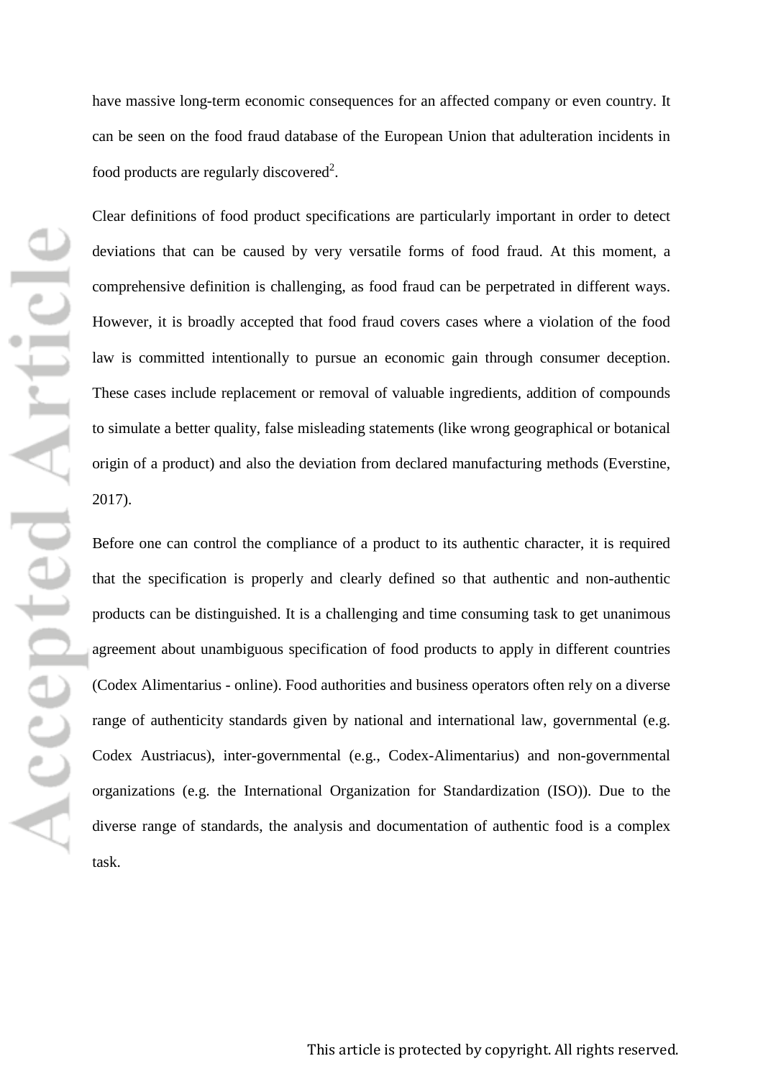have massive long-term economic consequences for an affected company or even country. It can be seen on the food fraud database of the European Union that adulteration incidents in food products are regularly discovered<sup>2</sup>.

Clear definitions of food product specifications are particularly important in order to detect deviations that can be caused by very versatile forms of food fraud. At this moment, a comprehensive definition is challenging, as food fraud can be perpetrated in different ways. However, it is broadly accepted that food fraud covers cases where a violation of the food law is committed intentionally to pursue an economic gain through consumer deception. These cases include replacement or removal of valuable ingredients, addition of compounds to simulate a better quality, false misleading statements (like wrong geographical or botanical origin of a product) and also the deviation from declared manufacturing methods (Everstine, 2017).

Before one can control the compliance of a product to its authentic character, it is required that the specification is properly and clearly defined so that authentic and non-authentic products can be distinguished. It is a challenging and time consuming task to get unanimous agreement about unambiguous specification of food products to apply in different countries (Codex Alimentarius - online). Food authorities and business operators often rely on a diverse range of authenticity standards given by national and international law, governmental (e.g. Codex Austriacus), inter-governmental (e.g., Codex-Alimentarius) and non-governmental organizations (e.g. the International Organization for Standardization (ISO)). Due to the diverse range of standards, the analysis and documentation of authentic food is a complex task.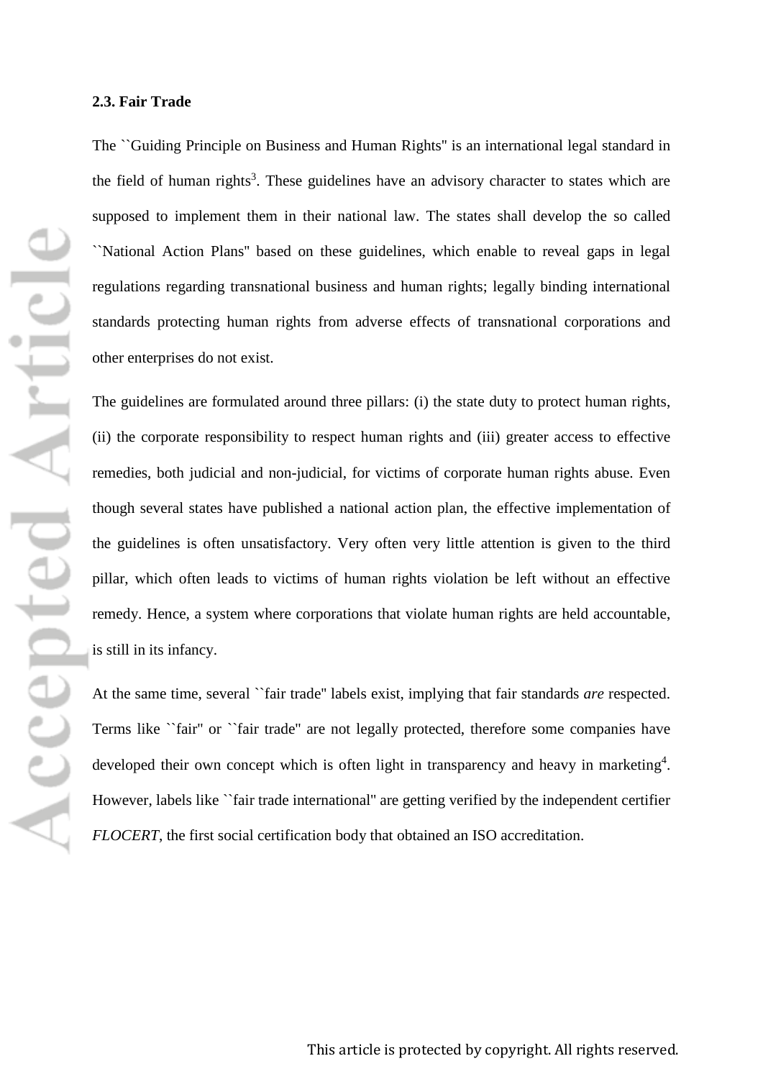The ``Guiding Principle on Business and Human Rights'' is an international legal standard in the field of human rights<sup>3</sup>. These guidelines have an advisory character to states which are supposed to implement them in their national law. The states shall develop the so called ``National Action Plans'' based on these guidelines, which enable to reveal gaps in legal regulations regarding transnational business and human rights; legally binding international standards protecting human rights from adverse effects of transnational corporations and other enterprises do not exist.

The guidelines are formulated around three pillars: (i) the state duty to protect human rights, (ii) the corporate responsibility to respect human rights and (iii) greater access to effective remedies, both judicial and non-judicial, for victims of corporate human rights abuse. Even though several states have published a national action plan, the effective implementation of the guidelines is often unsatisfactory. Very often very little attention is given to the third pillar, which often leads to victims of human rights violation be left without an effective remedy. Hence, a system where corporations that violate human rights are held accountable, is still in its infancy.

At the same time, several ``fair trade'' labels exist, implying that fair standards *are* respected. Terms like ``fair'' or ``fair trade'' are not legally protected, therefore some companies have developed their own concept which is often light in transparency and heavy in marketing<sup>4</sup>. However, labels like ``fair trade international'' are getting verified by the independent certifier *FLOCERT*, the first social certification body that obtained an ISO accreditation.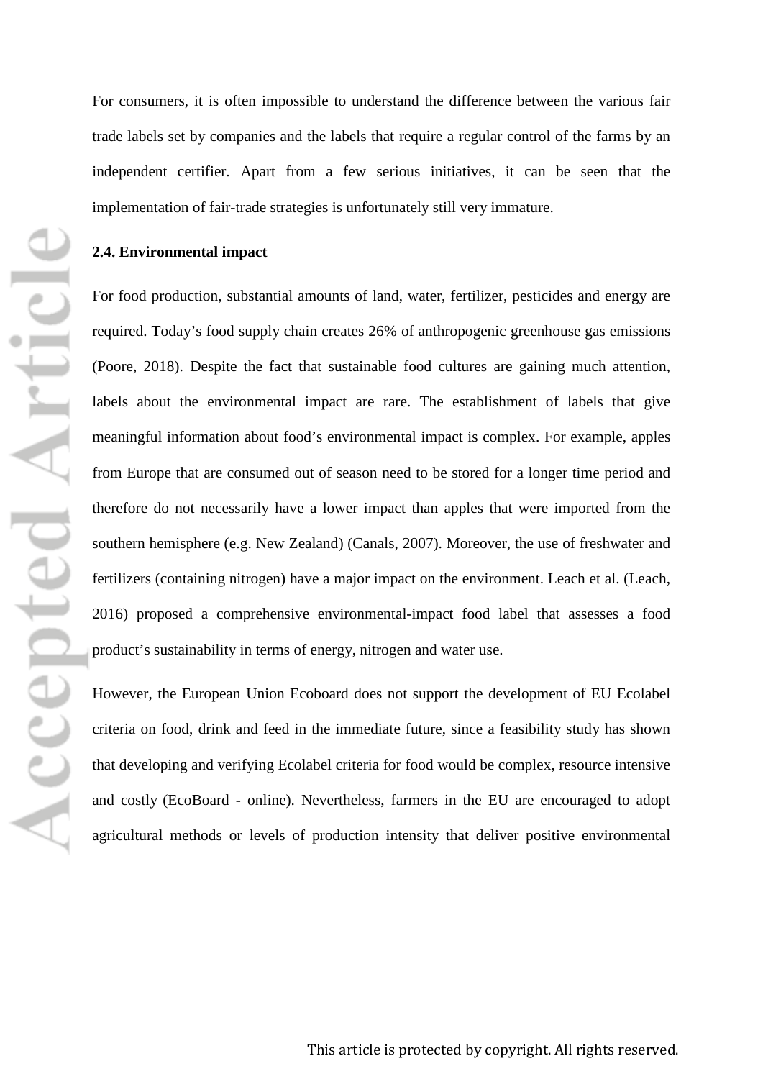For consumers, it is often impossible to understand the difference between the various fair trade labels set by companies and the labels that require a regular control of the farms by an independent certifier. Apart from a few serious initiatives, it can be seen that the implementation of fair-trade strategies is unfortunately still very immature.

## **2.4. Environmental impact**

For food production, substantial amounts of land, water, fertilizer, pesticides and energy are required. Today's food supply chain creates 26% of anthropogenic greenhouse gas emissions (Poore, 2018). Despite the fact that sustainable food cultures are gaining much attention, labels about the environmental impact are rare. The establishment of labels that give meaningful information about food's environmental impact is complex. For example, apples from Europe that are consumed out of season need to be stored for a longer time period and therefore do not necessarily have a lower impact than apples that were imported from the southern hemisphere (e.g. New Zealand) (Canals, 2007). Moreover, the use of freshwater and fertilizers (containing nitrogen) have a major impact on the environment. Leach et al. (Leach, 2016) proposed a comprehensive environmental-impact food label that assesses a food product's sustainability in terms of energy, nitrogen and water use.

However, the European Union Ecoboard does not support the development of EU Ecolabel criteria on food, drink and feed in the immediate future, since a feasibility study has shown that developing and verifying Ecolabel criteria for food would be complex, resource intensive and costly (EcoBoard - online). Nevertheless, farmers in the EU are encouraged to adopt agricultural methods or levels of production intensity that deliver positive environmental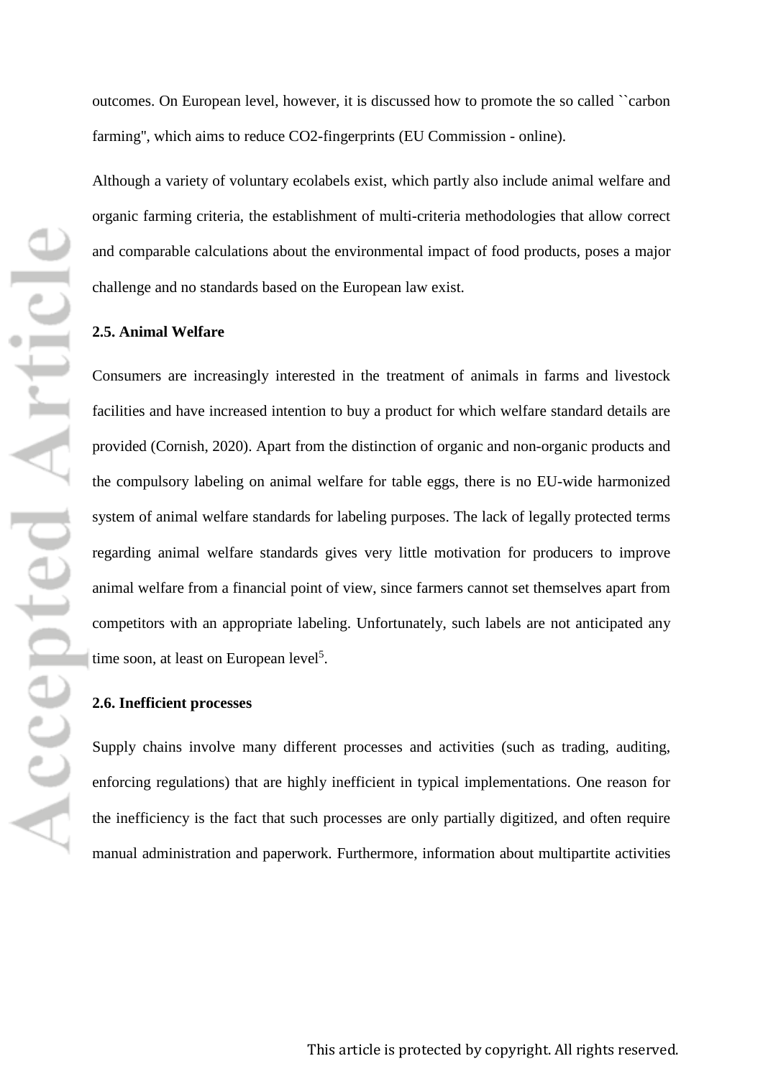outcomes. On European level, however, it is discussed how to promote the so called ``carbon farming'', which aims to reduce CO2-fingerprints (EU Commission - online).

Although a variety of voluntary ecolabels exist, which partly also include animal welfare and organic farming criteria, the establishment of multi-criteria methodologies that allow correct and comparable calculations about the environmental impact of food products, poses a major challenge and no standards based on the European law exist.

## **2.5. Animal Welfare**

Consumers are increasingly interested in the treatment of animals in farms and livestock facilities and have increased intention to buy a product for which welfare standard details are provided (Cornish, 2020). Apart from the distinction of organic and non-organic products and the compulsory labeling on animal welfare for table eggs, there is no EU-wide harmonized system of animal welfare standards for labeling purposes. The lack of legally protected terms regarding animal welfare standards gives very little motivation for producers to improve animal welfare from a financial point of view, since farmers cannot set themselves apart from competitors with an appropriate labeling. Unfortunately, such labels are not anticipated any time soon, at least on European level<sup>5</sup>.

#### **2.6. Inefficient processes**

Supply chains involve many different processes and activities (such as trading, auditing, enforcing regulations) that are highly inefficient in typical implementations. One reason for the inefficiency is the fact that such processes are only partially digitized, and often require manual administration and paperwork. Furthermore, information about multipartite activities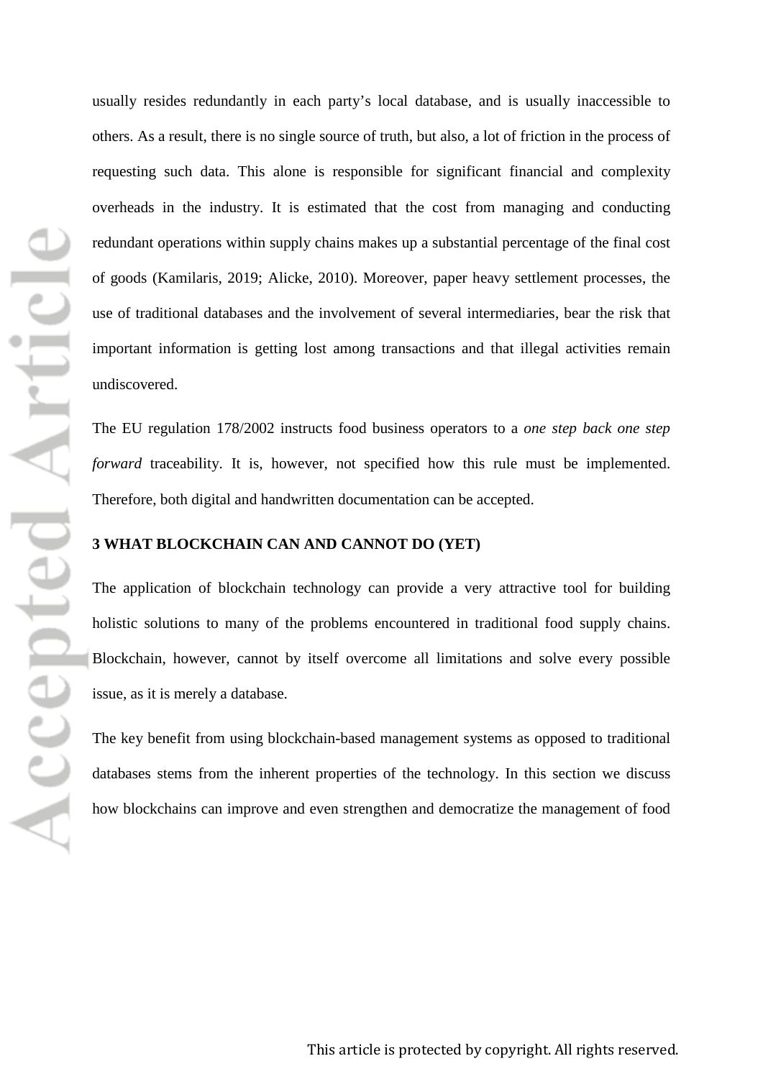usually resides redundantly in each party's local database, and is usually inaccessible to others. As a result, there is no single source of truth, but also, a lot of friction in the process of requesting such data. This alone is responsible for significant financial and complexity overheads in the industry. It is estimated that the cost from managing and conducting redundant operations within supply chains makes up a substantial percentage of the final cost of goods (Kamilaris, 2019; Alicke, 2010). Moreover, paper heavy settlement processes, the use of traditional databases and the involvement of several intermediaries, bear the risk that important information is getting lost among transactions and that illegal activities remain undiscovered.

The EU regulation 178/2002 instructs food business operators to a *one step back one step forward* traceability. It is, however, not specified how this rule must be implemented. Therefore, both digital and handwritten documentation can be accepted.

## **3 WHAT BLOCKCHAIN CAN AND CANNOT DO (YET)**

The application of blockchain technology can provide a very attractive tool for building holistic solutions to many of the problems encountered in traditional food supply chains. Blockchain, however, cannot by itself overcome all limitations and solve every possible issue, as it is merely a database.

The key benefit from using blockchain-based management systems as opposed to traditional databases stems from the inherent properties of the technology. In this section we discuss how blockchains can improve and even strengthen and democratize the management of food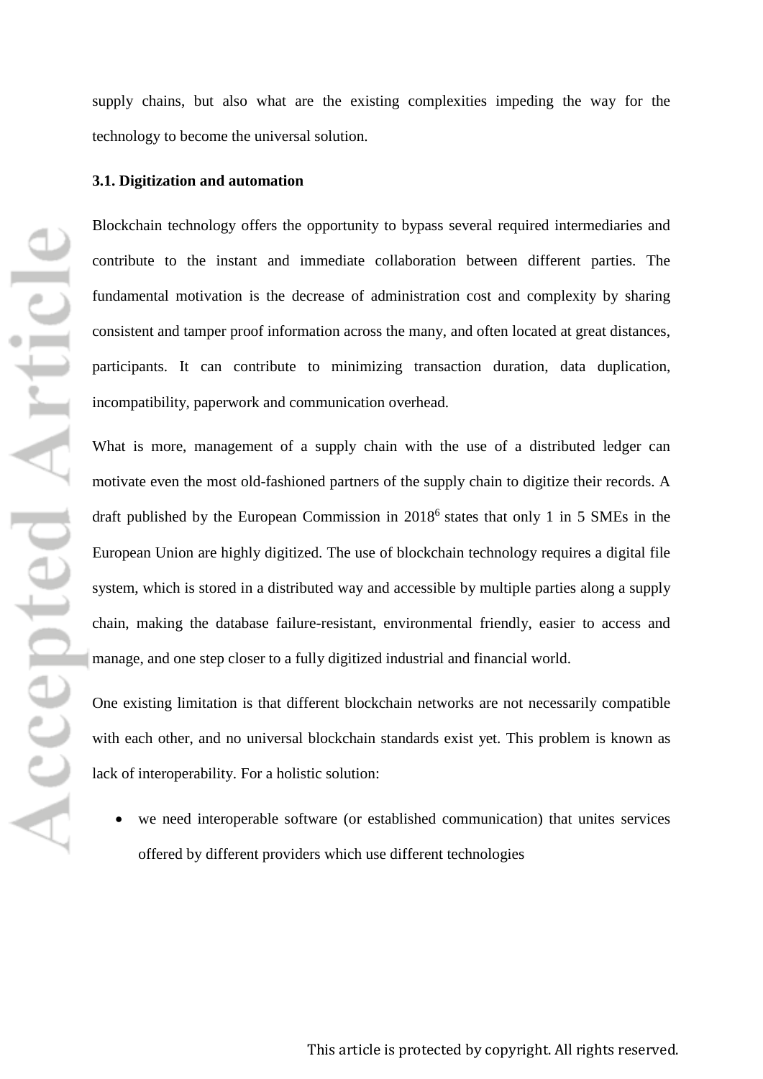supply chains, but also what are the existing complexities impeding the way for the technology to become the universal solution.

## **3.1. Digitization and automation**

Blockchain technology offers the opportunity to bypass several required intermediaries and contribute to the instant and immediate collaboration between different parties. The fundamental motivation is the decrease of administration cost and complexity by sharing consistent and tamper proof information across the many, and often located at great distances, participants. It can contribute to minimizing transaction duration, data duplication, incompatibility, paperwork and communication overhead.

What is more, management of a supply chain with the use of a distributed ledger can motivate even the most old-fashioned partners of the supply chain to digitize their records. A draft published by the European Commission in 20186 states that only 1 in 5 SMEs in the European Union are highly digitized. The use of blockchain technology requires a digital file system, which is stored in a distributed way and accessible by multiple parties along a supply chain, making the database failure-resistant, environmental friendly, easier to access and manage, and one step closer to a fully digitized industrial and financial world.

One existing limitation is that different blockchain networks are not necessarily compatible with each other, and no universal blockchain standards exist yet. This problem is known as lack of interoperability. For a holistic solution:

we need interoperable software (or established communication) that unites services offered by different providers which use different technologies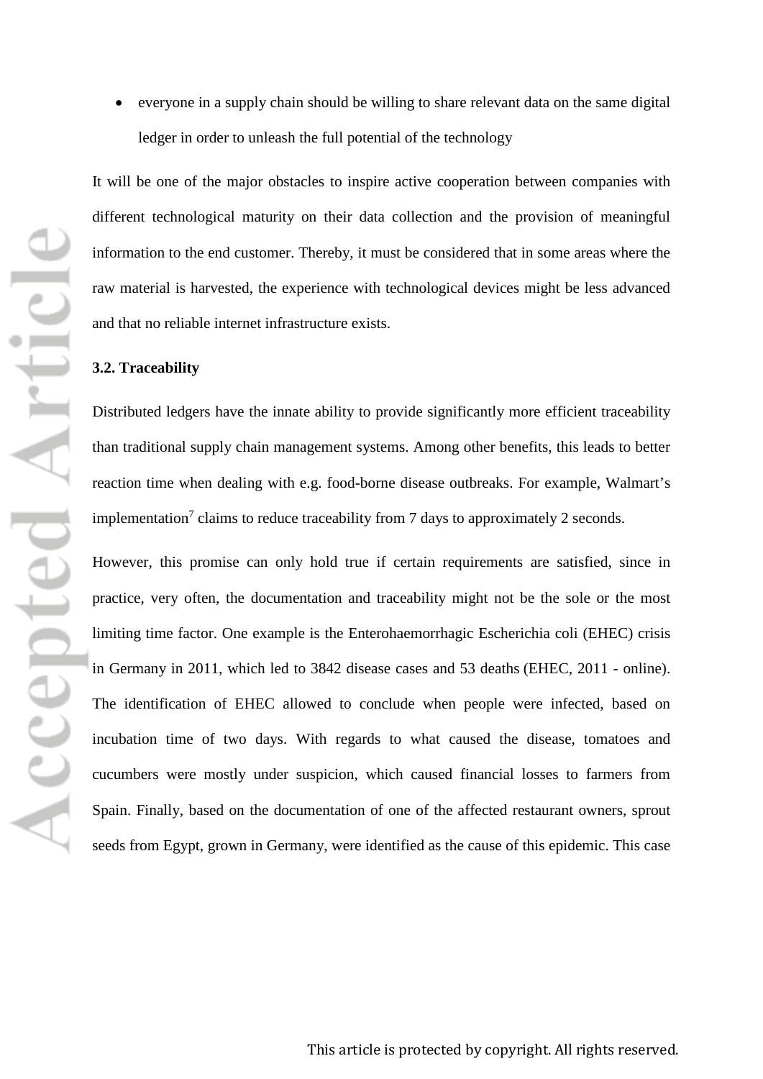• everyone in a supply chain should be willing to share relevant data on the same digital ledger in order to unleash the full potential of the technology

It will be one of the major obstacles to inspire active cooperation between companies with different technological maturity on their data collection and the provision of meaningful information to the end customer. Thereby, it must be considered that in some areas where the raw material is harvested, the experience with technological devices might be less advanced and that no reliable internet infrastructure exists.

#### **3.2. Traceability**

Distributed ledgers have the innate ability to provide significantly more efficient traceability than traditional supply chain management systems. Among other benefits, this leads to better reaction time when dealing with e.g. food-borne disease outbreaks. For example, Walmart's implementation<sup>7</sup> claims to reduce traceability from 7 days to approximately 2 seconds.

However, this promise can only hold true if certain requirements are satisfied, since in practice, very often, the documentation and traceability might not be the sole or the most limiting time factor. One example is the Enterohaemorrhagic Escherichia coli (EHEC) crisis in Germany in 2011, which led to 3842 disease cases and 53 deaths (EHEC, 2011 - online). The identification of EHEC allowed to conclude when people were infected, based on incubation time of two days. With regards to what caused the disease, tomatoes and cucumbers were mostly under suspicion, which caused financial losses to farmers from Spain. Finally, based on the documentation of one of the affected restaurant owners, sprout seeds from Egypt, grown in Germany, were identified as the cause of this epidemic. This case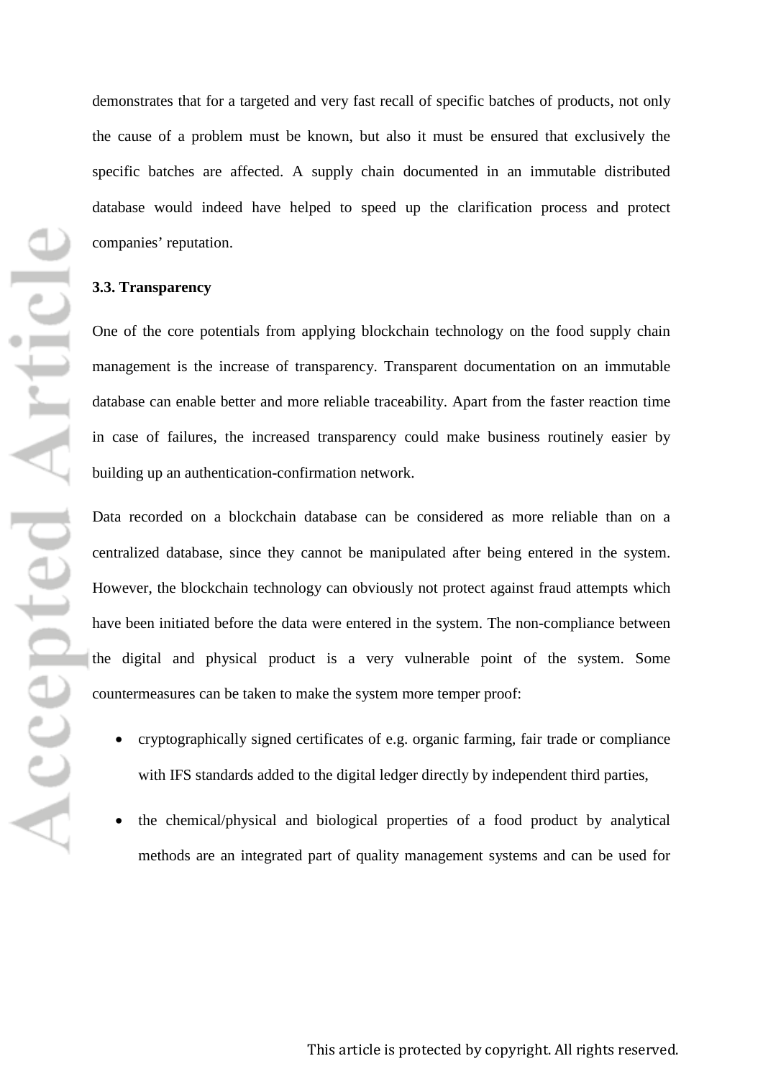demonstrates that for a targeted and very fast recall of specific batches of products, not only the cause of a problem must be known, but also it must be ensured that exclusively the specific batches are affected. A supply chain documented in an immutable distributed database would indeed have helped to speed up the clarification process and protect companies' reputation.

## **3.3. Transparency**

One of the core potentials from applying blockchain technology on the food supply chain management is the increase of transparency. Transparent documentation on an immutable database can enable better and more reliable traceability. Apart from the faster reaction time in case of failures, the increased transparency could make business routinely easier by building up an authentication-confirmation network.

Data recorded on a blockchain database can be considered as more reliable than on a centralized database, since they cannot be manipulated after being entered in the system. However, the blockchain technology can obviously not protect against fraud attempts which have been initiated before the data were entered in the system. The non-compliance between the digital and physical product is a very vulnerable point of the system. Some countermeasures can be taken to make the system more temper proof:

- cryptographically signed certificates of e.g. organic farming, fair trade or compliance with IFS standards added to the digital ledger directly by independent third parties,
- the chemical/physical and biological properties of a food product by analytical methods are an integrated part of quality management systems and can be used for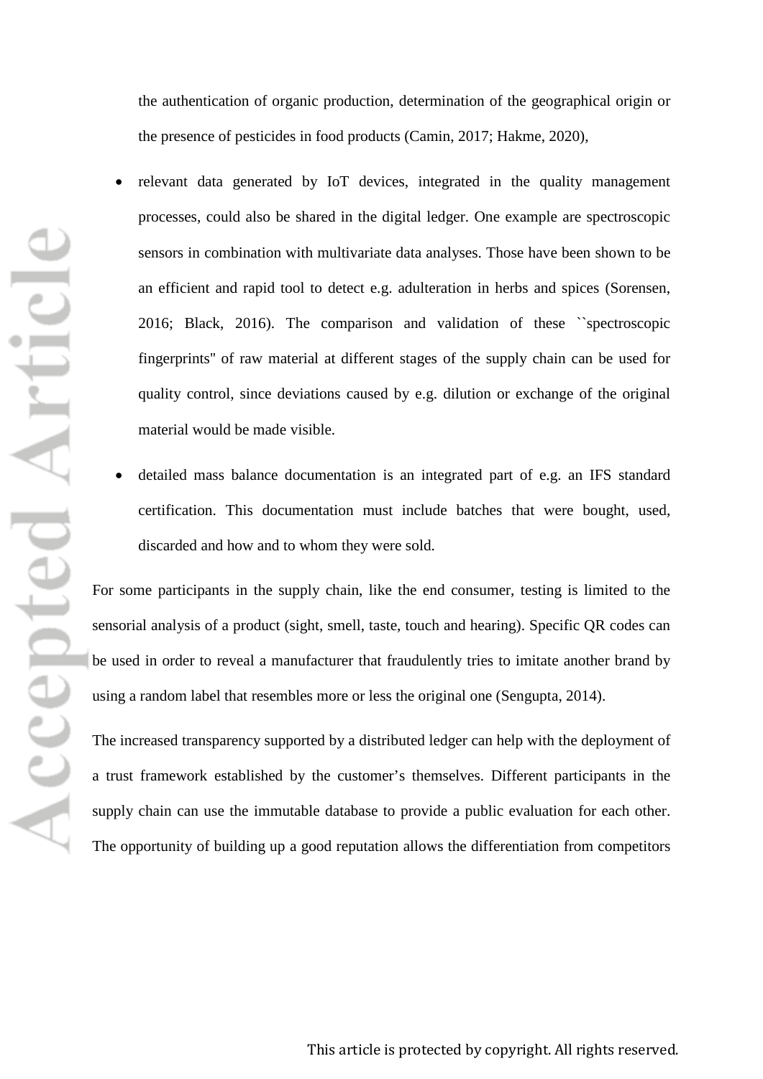the authentication of organic production, determination of the geographical origin or the presence of pesticides in food products (Camin, 2017; Hakme, 2020),

- relevant data generated by IoT devices, integrated in the quality management processes, could also be shared in the digital ledger. One example are spectroscopic sensors in combination with multivariate data analyses. Those have been shown to be an efficient and rapid tool to detect e.g. adulteration in herbs and spices (Sorensen, 2016; Black, 2016). The comparison and validation of these ``spectroscopic fingerprints'' of raw material at different stages of the supply chain can be used for quality control, since deviations caused by e.g. dilution or exchange of the original material would be made visible.
- detailed mass balance documentation is an integrated part of e.g. an IFS standard certification. This documentation must include batches that were bought, used, discarded and how and to whom they were sold.

For some participants in the supply chain, like the end consumer, testing is limited to the sensorial analysis of a product (sight, smell, taste, touch and hearing). Specific QR codes can be used in order to reveal a manufacturer that fraudulently tries to imitate another brand by using a random label that resembles more or less the original one (Sengupta, 2014).

The increased transparency supported by a distributed ledger can help with the deployment of a trust framework established by the customer's themselves. Different participants in the supply chain can use the immutable database to provide a public evaluation for each other. The opportunity of building up a good reputation allows the differentiation from competitors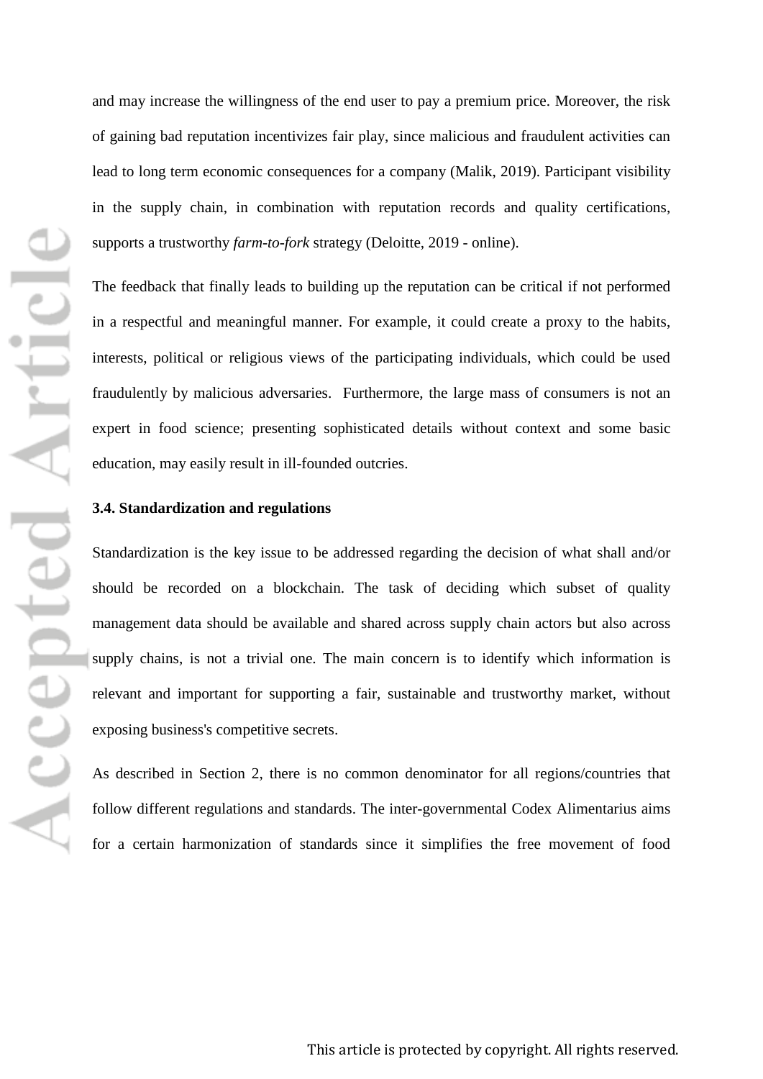and may increase the willingness of the end user to pay a premium price. Moreover, the risk of gaining bad reputation incentivizes fair play, since malicious and fraudulent activities can lead to long term economic consequences for a company (Malik, 2019). Participant visibility in the supply chain, in combination with reputation records and quality certifications, supports a trustworthy *farm-to-fork* strategy (Deloitte, 2019 - online).

The feedback that finally leads to building up the reputation can be critical if not performed in a respectful and meaningful manner. For example, it could create a proxy to the habits, interests, political or religious views of the participating individuals, which could be used fraudulently by malicious adversaries. Furthermore, the large mass of consumers is not an expert in food science; presenting sophisticated details without context and some basic education, may easily result in ill-founded outcries.

#### **3.4. Standardization and regulations**

Standardization is the key issue to be addressed regarding the decision of what shall and/or should be recorded on a blockchain. The task of deciding which subset of quality management data should be available and shared across supply chain actors but also across supply chains, is not a trivial one. The main concern is to identify which information is relevant and important for supporting a fair, sustainable and trustworthy market, without exposing business's competitive secrets.

As described in Section 2, there is no common denominator for all regions/countries that follow different regulations and standards. The inter-governmental Codex Alimentarius aims for a certain harmonization of standards since it simplifies the free movement of food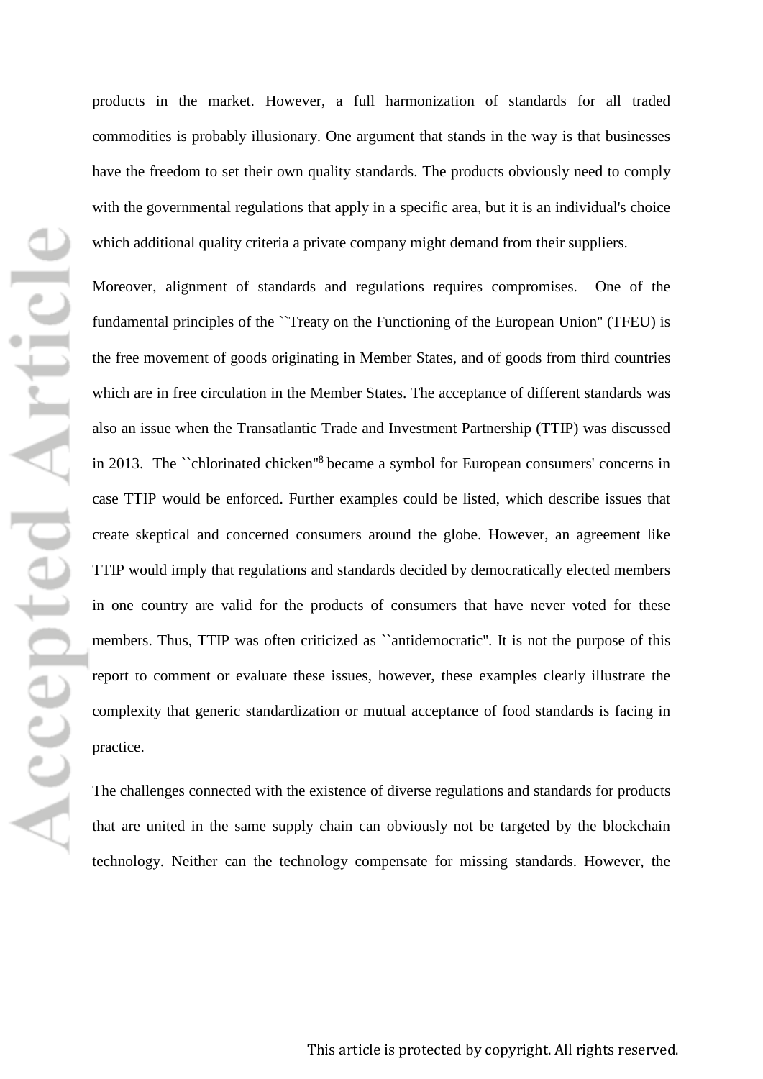products in the market. However, a full harmonization of standards for all traded commodities is probably illusionary. One argument that stands in the way is that businesses have the freedom to set their own quality standards. The products obviously need to comply with the governmental regulations that apply in a specific area, but it is an individual's choice which additional quality criteria a private company might demand from their suppliers.

Moreover, alignment of standards and regulations requires compromises. One of the fundamental principles of the ``Treaty on the Functioning of the European Union'' (TFEU) is the free movement of goods originating in Member States, and of goods from third countries which are in free circulation in the Member States. The acceptance of different standards was also an issue when the Transatlantic Trade and Investment Partnership (TTIP) was discussed in 2013. The ``chlorinated chicken''<sup>8</sup> became a symbol for European consumers' concerns in case TTIP would be enforced. Further examples could be listed, which describe issues that create skeptical and concerned consumers around the globe. However, an agreement like TTIP would imply that regulations and standards decided by democratically elected members in one country are valid for the products of consumers that have never voted for these members. Thus, TTIP was often criticized as ``antidemocratic''. It is not the purpose of this report to comment or evaluate these issues, however, these examples clearly illustrate the complexity that generic standardization or mutual acceptance of food standards is facing in practice.

The challenges connected with the existence of diverse regulations and standards for products that are united in the same supply chain can obviously not be targeted by the blockchain technology. Neither can the technology compensate for missing standards. However, the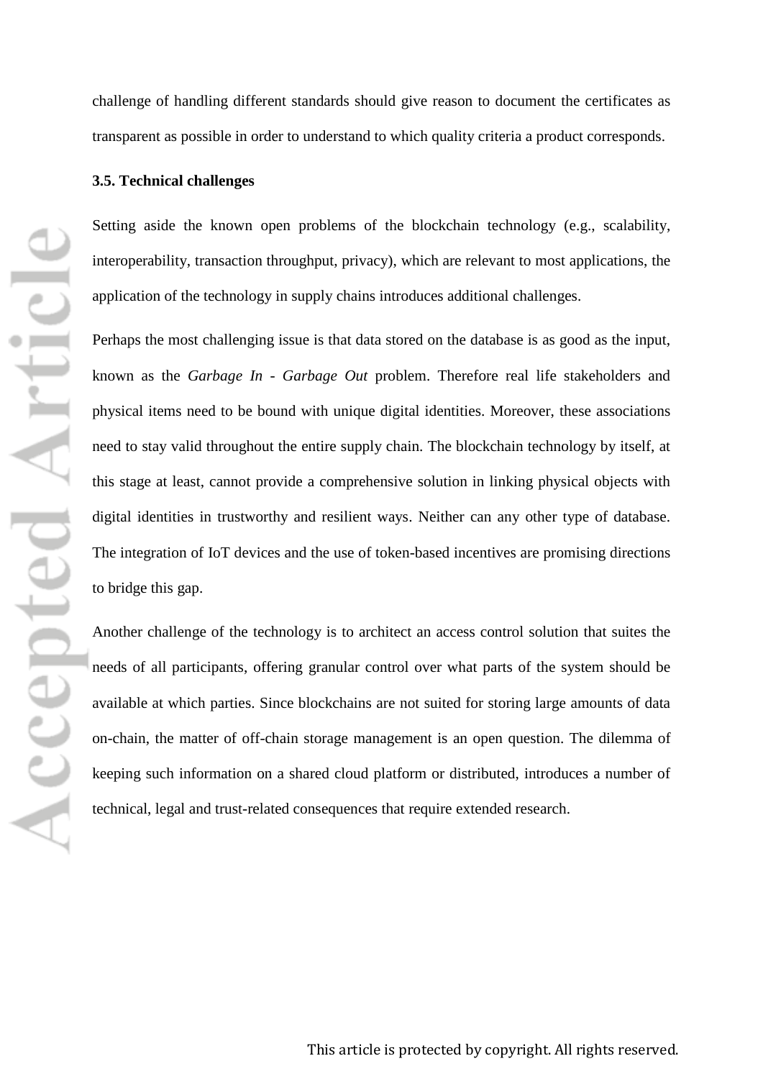challenge of handling different standards should give reason to document the certificates as transparent as possible in order to understand to which quality criteria a product corresponds.

## **3.5. Technical challenges**

Setting aside the known open problems of the blockchain technology (e.g., scalability, interoperability, transaction throughput, privacy), which are relevant to most applications, the application of the technology in supply chains introduces additional challenges.

Perhaps the most challenging issue is that data stored on the database is as good as the input, known as the *Garbage In - Garbage Out* problem. Therefore real life stakeholders and physical items need to be bound with unique digital identities. Moreover, these associations need to stay valid throughout the entire supply chain. The blockchain technology by itself, at this stage at least, cannot provide a comprehensive solution in linking physical objects with digital identities in trustworthy and resilient ways. Neither can any other type of database. The integration of IoT devices and the use of token-based incentives are promising directions to bridge this gap.

Another challenge of the technology is to architect an access control solution that suites the needs of all participants, offering granular control over what parts of the system should be available at which parties. Since blockchains are not suited for storing large amounts of data on-chain, the matter of off-chain storage management is an open question. The dilemma of keeping such information on a shared cloud platform or distributed, introduces a number of technical, legal and trust-related consequences that require extended research.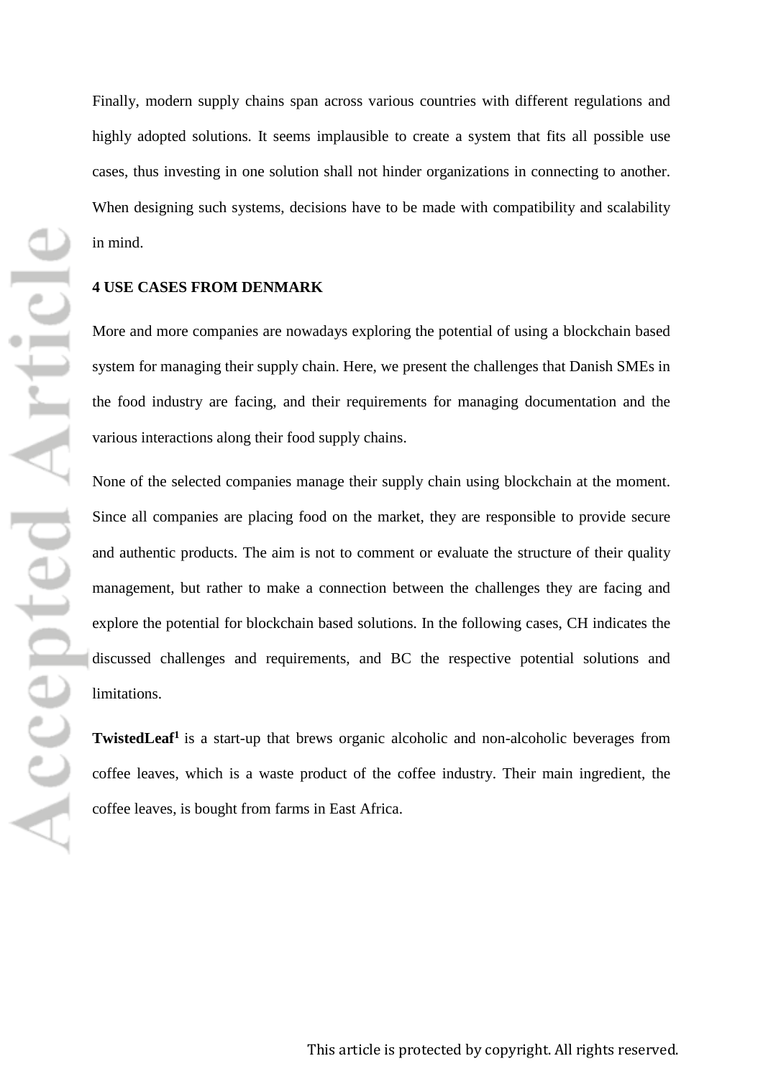Finally, modern supply chains span across various countries with different regulations and highly adopted solutions. It seems implausible to create a system that fits all possible use cases, thus investing in one solution shall not hinder organizations in connecting to another. When designing such systems, decisions have to be made with compatibility and scalability in mind.

## **4 USE CASES FROM DENMARK**

More and more companies are nowadays exploring the potential of using a blockchain based system for managing their supply chain. Here, we present the challenges that Danish SMEs in the food industry are facing, and their requirements for managing documentation and the various interactions along their food supply chains.

None of the selected companies manage their supply chain using blockchain at the moment. Since all companies are placing food on the market, they are responsible to provide secure and authentic products. The aim is not to comment or evaluate the structure of their quality management, but rather to make a connection between the challenges they are facing and explore the potential for blockchain based solutions. In the following cases, CH indicates the discussed challenges and requirements, and BC the respective potential solutions and limitations.

**TwistedLeaf<sup>1</sup>** is a start-up that brews organic alcoholic and non-alcoholic beverages from coffee leaves, which is a waste product of the coffee industry. Their main ingredient, the coffee leaves, is bought from farms in East Africa.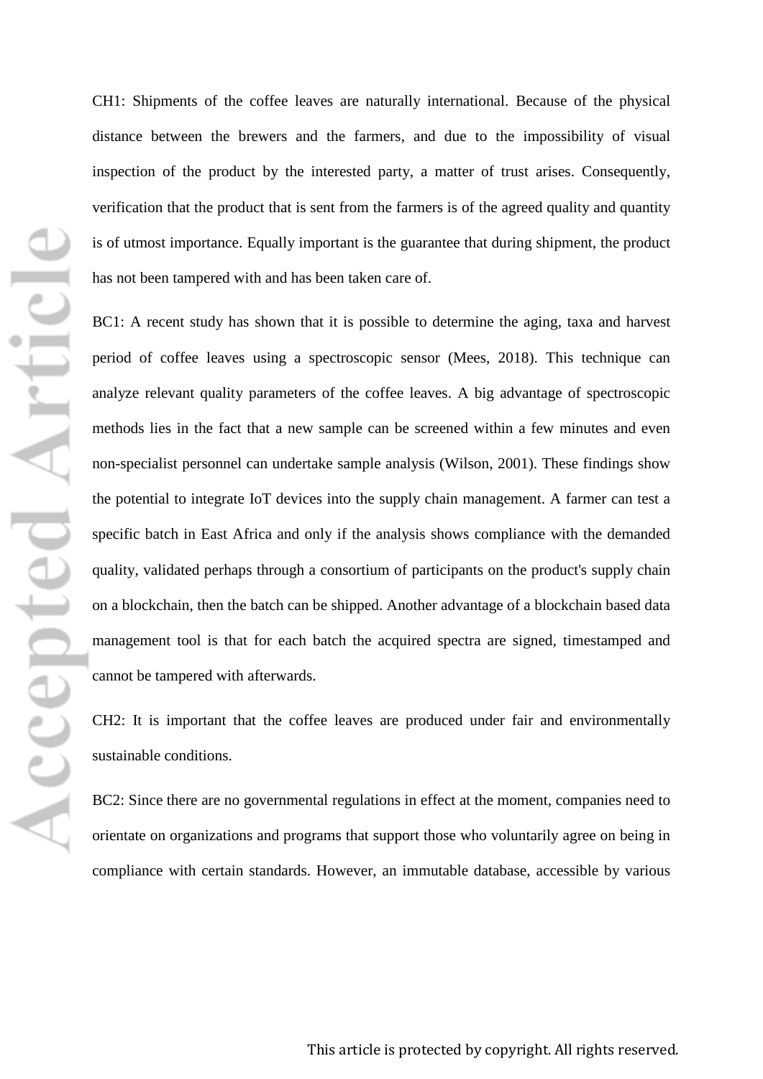Accepted Article

CH1: Shipments of the coffee leaves are naturally international. Because of the physical distance between the brewers and the farmers, and due to the impossibility of visual inspection of the product by the interested party, a matter of trust arises. Consequently, verification that the product that is sent from the farmers is of the agreed quality and quantity is of utmost importance. Equally important is the guarantee that during shipment, the product has not been tampered with and has been taken care of.

BC1: A recent study has shown that it is possible to determine the aging, taxa and harvest period of coffee leaves using a spectroscopic sensor (Mees, 2018). This technique can analyze relevant quality parameters of the coffee leaves. A big advantage of spectroscopic methods lies in the fact that a new sample can be screened within a few minutes and even non-specialist personnel can undertake sample analysis (Wilson, 2001). These findings show the potential to integrate IoT devices into the supply chain management. A farmer can test a specific batch in East Africa and only if the analysis shows compliance with the demanded quality, validated perhaps through a consortium of participants on the product's supply chain on a blockchain, then the batch can be shipped. Another advantage of a blockchain based data management tool is that for each batch the acquired spectra are signed, timestamped and cannot be tampered with afterwards.

CH2: It is important that the coffee leaves are produced under fair and environmentally sustainable conditions.

BC2: Since there are no governmental regulations in effect at the moment, companies need to orientate on organizations and programs that support those who voluntarily agree on being in compliance with certain standards. However, an immutable database, accessible by various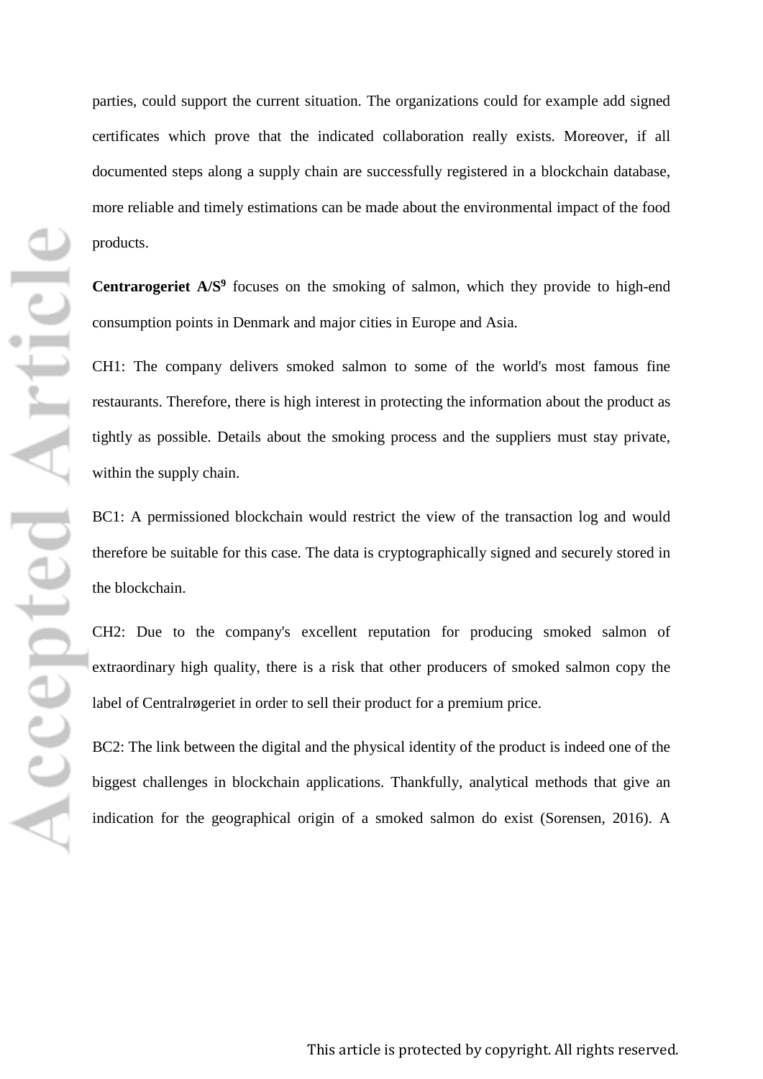Accepted Article

parties, could support the current situation. The organizations could for example add signed certificates which prove that the indicated collaboration really exists. Moreover, if all documented steps along a supply chain are successfully registered in a blockchain database, more reliable and timely estimations can be made about the environmental impact of the food products.

Centrarogeriet  $A/S<sup>9</sup>$  focuses on the smoking of salmon, which they provide to high-end consumption points in Denmark and major cities in Europe and Asia.

CH1: The company delivers smoked salmon to some of the world's most famous fine restaurants. Therefore, there is high interest in protecting the information about the product as tightly as possible. Details about the smoking process and the suppliers must stay private, within the supply chain.

BC1: A permissioned blockchain would restrict the view of the transaction log and would therefore be suitable for this case. The data is cryptographically signed and securely stored in the blockchain.

CH2: Due to the company's excellent reputation for producing smoked salmon of extraordinary high quality, there is a risk that other producers of smoked salmon copy the label of Centralrøgeriet in order to sell their product for a premium price.

BC2: The link between the digital and the physical identity of the product is indeed one of the biggest challenges in blockchain applications. Thankfully, analytical methods that give an indication for the geographical origin of a smoked salmon do exist (Sorensen, 2016). A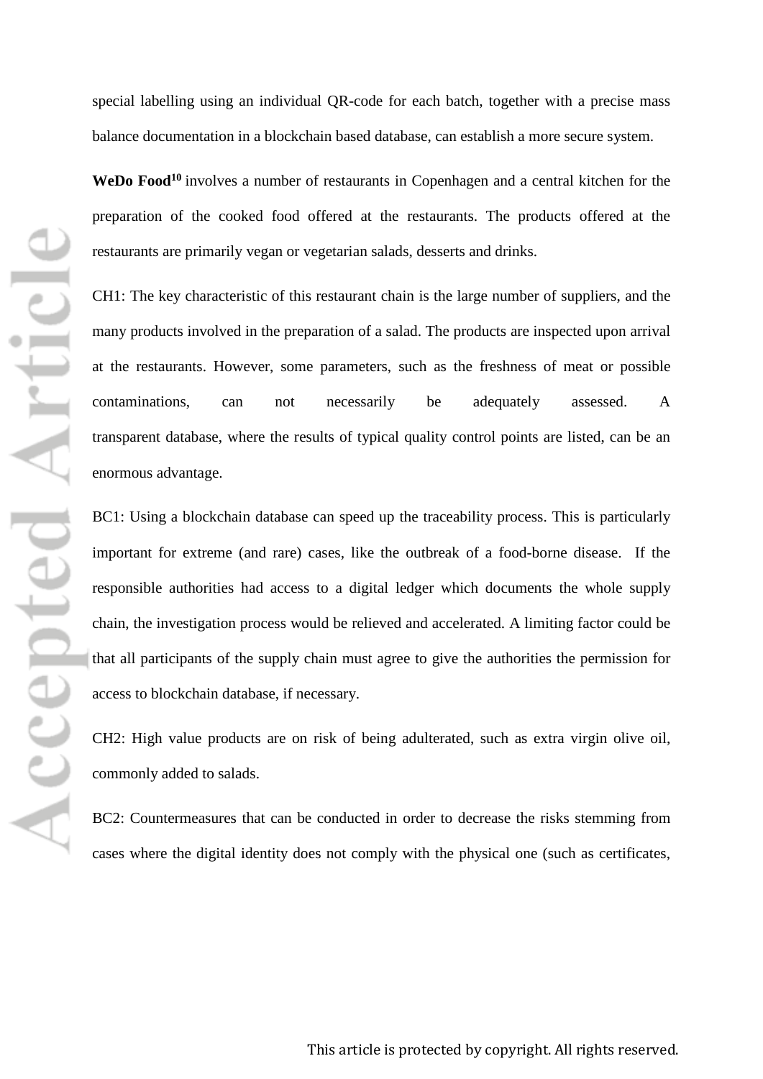special labelling using an individual QR-code for each batch, together with a precise mass balance documentation in a blockchain based database, can establish a more secure system.

WeDo Food<sup>10</sup> involves a number of restaurants in Copenhagen and a central kitchen for the preparation of the cooked food offered at the restaurants. The products offered at the restaurants are primarily vegan or vegetarian salads, desserts and drinks.

CH1: The key characteristic of this restaurant chain is the large number of suppliers, and the many products involved in the preparation of a salad. The products are inspected upon arrival at the restaurants. However, some parameters, such as the freshness of meat or possible contaminations, can not necessarily be adequately assessed. A transparent database, where the results of typical quality control points are listed, can be an enormous advantage.

BC1: Using a blockchain database can speed up the traceability process. This is particularly important for extreme (and rare) cases, like the outbreak of a food-borne disease. If the responsible authorities had access to a digital ledger which documents the whole supply chain, the investigation process would be relieved and accelerated. A limiting factor could be that all participants of the supply chain must agree to give the authorities the permission for access to blockchain database, if necessary.

CH2: High value products are on risk of being adulterated, such as extra virgin olive oil, commonly added to salads.

BC2: Countermeasures that can be conducted in order to decrease the risks stemming from cases where the digital identity does not comply with the physical one (such as certificates,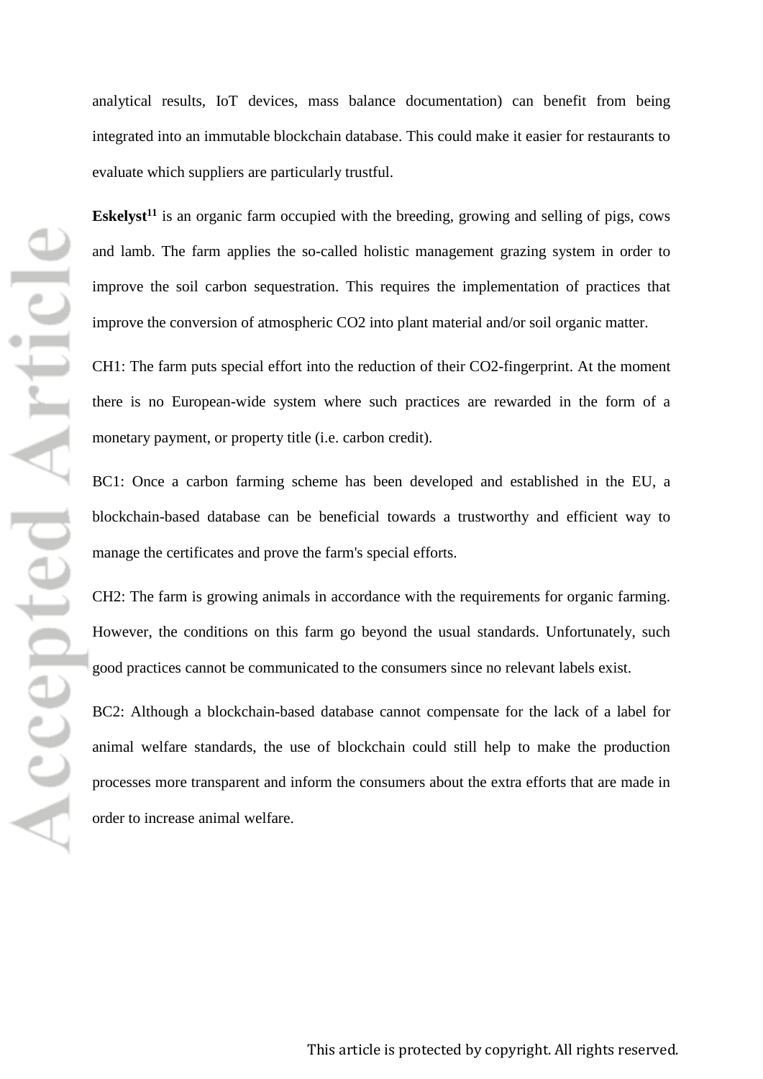analytical results, IoT devices, mass balance documentation) can benefit from being integrated into an immutable blockchain database. This could make it easier for restaurants to evaluate which suppliers are particularly trustful.

**Eskelyst<sup>11</sup>** is an organic farm occupied with the breeding, growing and selling of pigs, cows and lamb. The farm applies the so-called holistic management grazing system in order to improve the soil carbon sequestration. This requires the implementation of practices that improve the conversion of atmospheric CO2 into plant material and/or soil organic matter.

CH1: The farm puts special effort into the reduction of their CO2-fingerprint. At the moment there is no European-wide system where such practices are rewarded in the form of a monetary payment, or property title (i.e. carbon credit).

BC1: Once a carbon farming scheme has been developed and established in the EU, a blockchain-based database can be beneficial towards a trustworthy and efficient way to manage the certificates and prove the farm's special efforts.

CH2: The farm is growing animals in accordance with the requirements for organic farming. However, the conditions on this farm go beyond the usual standards. Unfortunately, such good practices cannot be communicated to the consumers since no relevant labels exist.

BC2: Although a blockchain-based database cannot compensate for the lack of a label for animal welfare standards, the use of blockchain could still help to make the production processes more transparent and inform the consumers about the extra efforts that are made in order to increase animal welfare.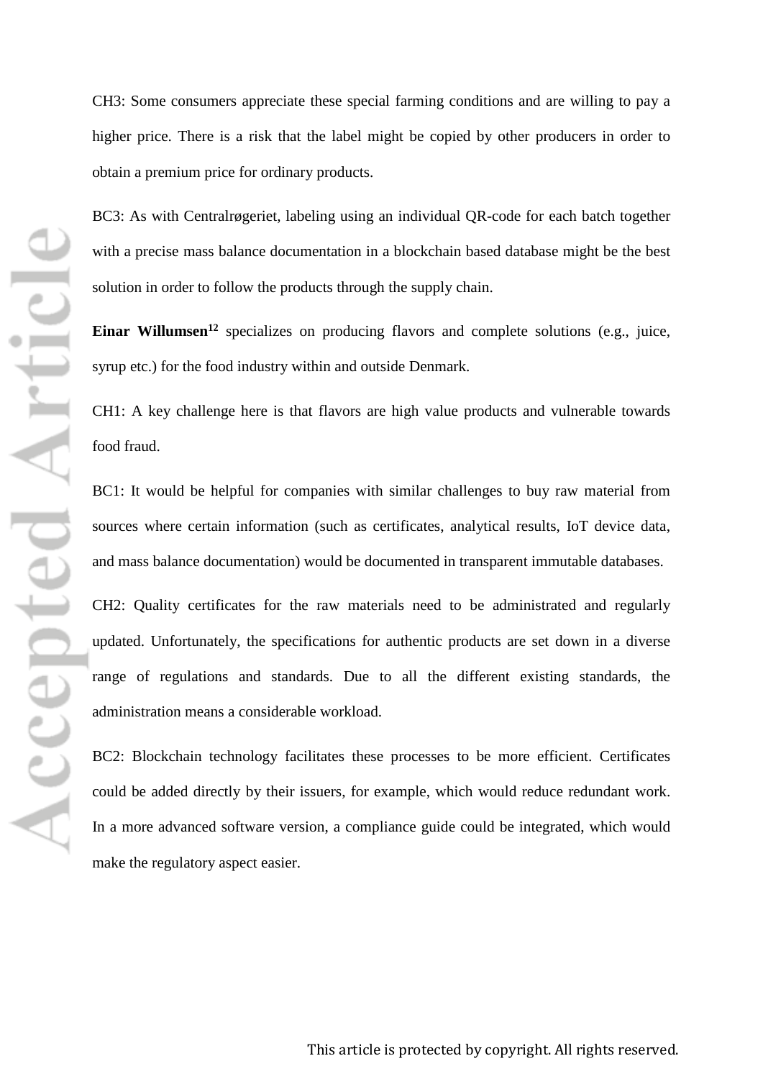CH3: Some consumers appreciate these special farming conditions and are willing to pay a higher price. There is a risk that the label might be copied by other producers in order to obtain a premium price for ordinary products.

BC3: As with Centralrøgeriet, labeling using an individual QR-code for each batch together with a precise mass balance documentation in a blockchain based database might be the best solution in order to follow the products through the supply chain.

Einar Willumsen<sup>12</sup> specializes on producing flavors and complete solutions (e.g., juice, syrup etc.) for the food industry within and outside Denmark.

CH1: A key challenge here is that flavors are high value products and vulnerable towards food fraud.

BC1: It would be helpful for companies with similar challenges to buy raw material from sources where certain information (such as certificates, analytical results, IoT device data, and mass balance documentation) would be documented in transparent immutable databases.

CH2: Quality certificates for the raw materials need to be administrated and regularly updated. Unfortunately, the specifications for authentic products are set down in a diverse range of regulations and standards. Due to all the different existing standards, the administration means a considerable workload.

BC2: Blockchain technology facilitates these processes to be more efficient. Certificates could be added directly by their issuers, for example, which would reduce redundant work. In a more advanced software version, a compliance guide could be integrated, which would make the regulatory aspect easier.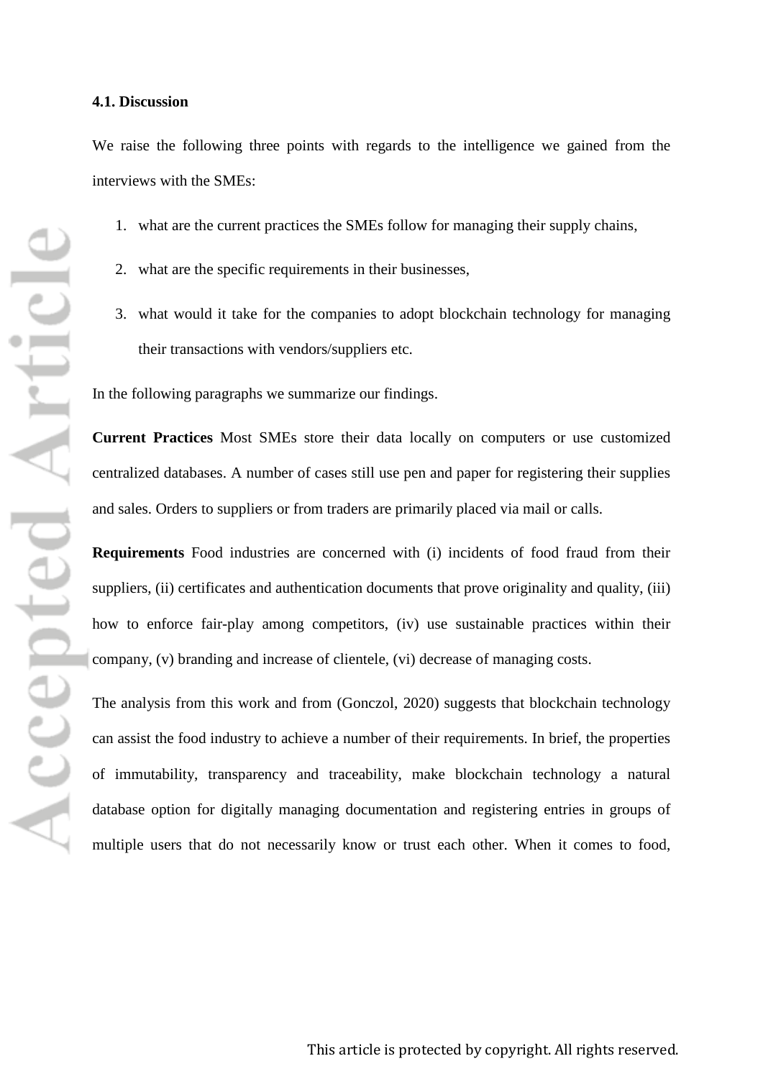#### **4.1. Discussion**

We raise the following three points with regards to the intelligence we gained from the interviews with the SMEs:

- 1. what are the current practices the SMEs follow for managing their supply chains,
- 2. what are the specific requirements in their businesses,
- 3. what would it take for the companies to adopt blockchain technology for managing their transactions with vendors/suppliers etc.

In the following paragraphs we summarize our findings.

**Current Practices** Most SMEs store their data locally on computers or use customized centralized databases. A number of cases still use pen and paper for registering their supplies and sales. Orders to suppliers or from traders are primarily placed via mail or calls.

**Requirements** Food industries are concerned with (i) incidents of food fraud from their suppliers, (ii) certificates and authentication documents that prove originality and quality, (iii) how to enforce fair-play among competitors, (iv) use sustainable practices within their company, (v) branding and increase of clientele, (vi) decrease of managing costs.

The analysis from this work and from (Gonczol, 2020) suggests that blockchain technology can assist the food industry to achieve a number of their requirements. In brief, the properties of immutability, transparency and traceability, make blockchain technology a natural database option for digitally managing documentation and registering entries in groups of multiple users that do not necessarily know or trust each other. When it comes to food,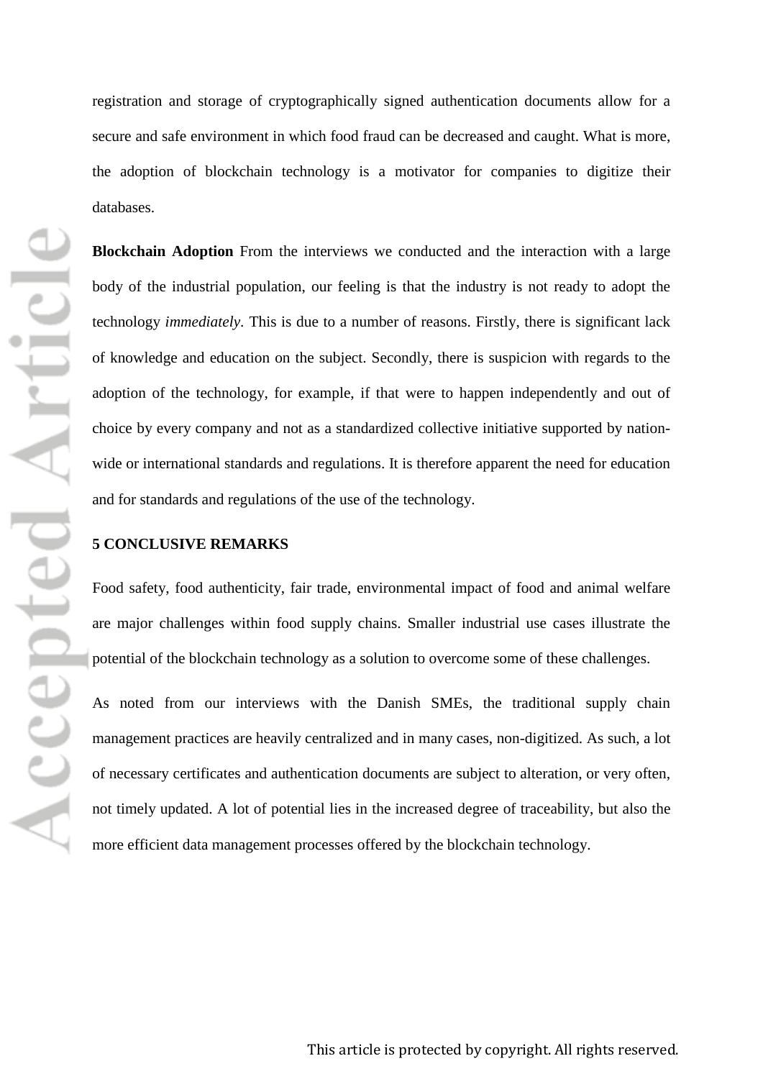registration and storage of cryptographically signed authentication documents allow for a secure and safe environment in which food fraud can be decreased and caught. What is more, the adoption of blockchain technology is a motivator for companies to digitize their databases.

**Blockchain Adoption** From the interviews we conducted and the interaction with a large body of the industrial population, our feeling is that the industry is not ready to adopt the technology *immediately*. This is due to a number of reasons. Firstly, there is significant lack of knowledge and education on the subject. Secondly, there is suspicion with regards to the adoption of the technology, for example, if that were to happen independently and out of choice by every company and not as a standardized collective initiative supported by nationwide or international standards and regulations. It is therefore apparent the need for education and for standards and regulations of the use of the technology.

## **5 CONCLUSIVE REMARKS**

Food safety, food authenticity, fair trade, environmental impact of food and animal welfare are major challenges within food supply chains. Smaller industrial use cases illustrate the potential of the blockchain technology as a solution to overcome some of these challenges.

As noted from our interviews with the Danish SMEs, the traditional supply chain management practices are heavily centralized and in many cases, non-digitized. As such, a lot of necessary certificates and authentication documents are subject to alteration, or very often, not timely updated. A lot of potential lies in the increased degree of traceability, but also the more efficient data management processes offered by the blockchain technology.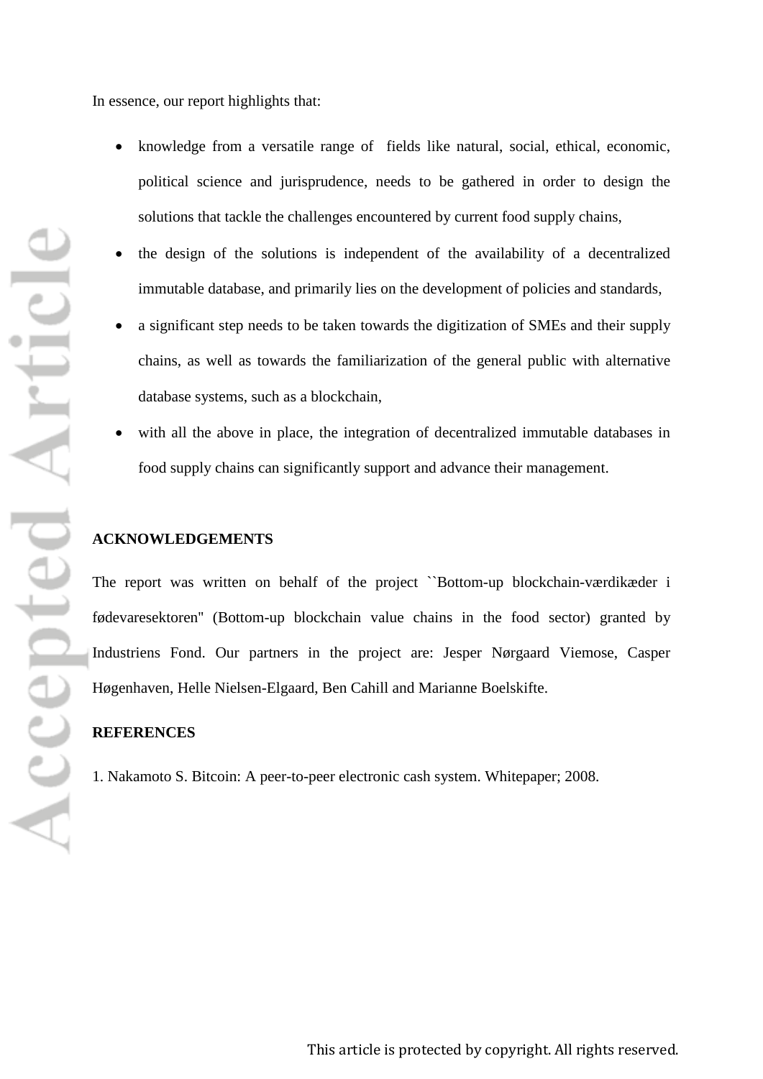Accepted Article

In essence, our report highlights that:

- knowledge from a versatile range of fields like natural, social, ethical, economic, political science and jurisprudence, needs to be gathered in order to design the solutions that tackle the challenges encountered by current food supply chains,
- the design of the solutions is independent of the availability of a decentralized immutable database, and primarily lies on the development of policies and standards,
- a significant step needs to be taken towards the digitization of SMEs and their supply chains, as well as towards the familiarization of the general public with alternative database systems, such as a blockchain,
- with all the above in place, the integration of decentralized immutable databases in food supply chains can significantly support and advance their management.

## **ACKNOWLEDGEMENTS**

The report was written on behalf of the project ``Bottom-up blockchain-værdikæder i fødevaresektoren'' (Bottom-up blockchain value chains in the food sector) granted by Industriens Fond. Our partners in the project are: Jesper Nørgaard Viemose, Casper Høgenhaven, Helle Nielsen-Elgaard, Ben Cahill and Marianne Boelskifte.

### **REFERENCES**

1. Nakamoto S. Bitcoin: A peer-to-peer electronic cash system. Whitepaper; 2008.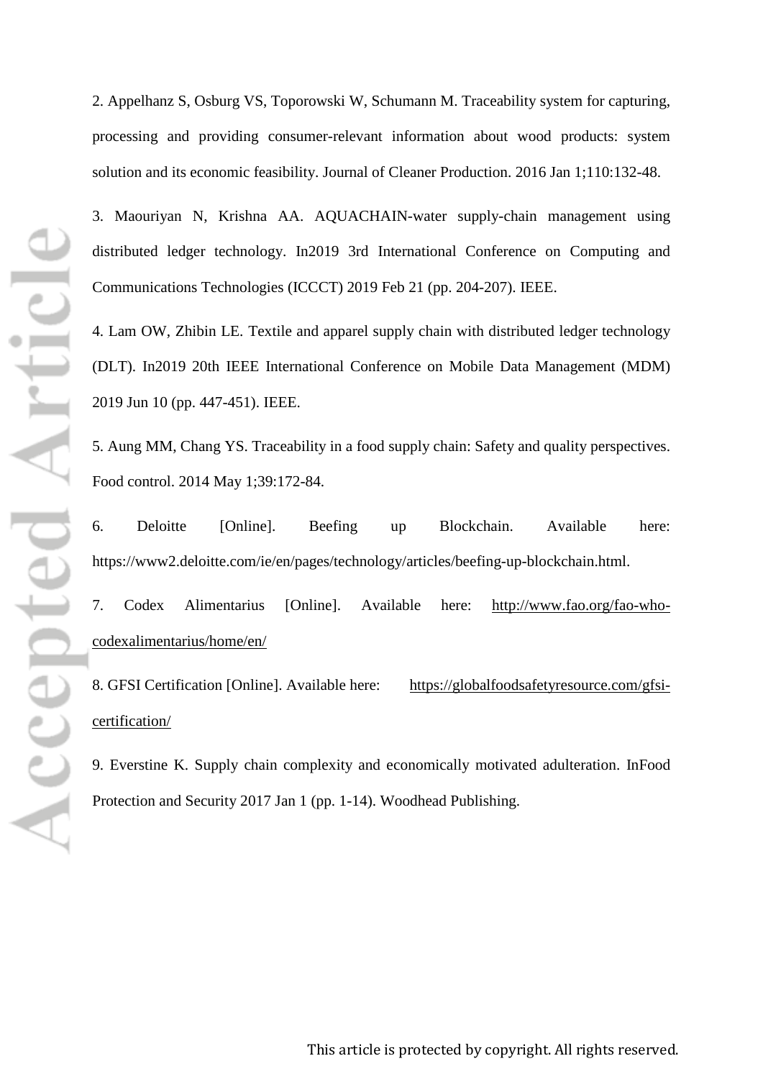2. Appelhanz S, Osburg VS, Toporowski W, Schumann M. Traceability system for capturing, processing and providing consumer-relevant information about wood products: system solution and its economic feasibility. Journal of Cleaner Production. 2016 Jan 1;110:132-48.

3. Maouriyan N, Krishna AA. AQUACHAIN-water supply-chain management using distributed ledger technology. In2019 3rd International Conference on Computing and Communications Technologies (ICCCT) 2019 Feb 21 (pp. 204-207). IEEE.

4. Lam OW, Zhibin LE. Textile and apparel supply chain with distributed ledger technology (DLT). In2019 20th IEEE International Conference on Mobile Data Management (MDM) 2019 Jun 10 (pp. 447-451). IEEE.

5. Aung MM, Chang YS. Traceability in a food supply chain: Safety and quality perspectives. Food control. 2014 May 1;39:172-84.

6. Deloitte [Online]. Beefing up Blockchain. Available here: [https://www2.deloitte.com/ie/en/pages/technology/articles/beefing-up-blockchain.html.](https://www2.deloitte.com/ie/en/pages/technology/articles/beefing-up-blockchain.html)

7. Codex Alimentarius [Online]. Available here: [http://www.fao.org/fao-who](http://www.fao.org/fao-who-codexalimentarius/home/en/)[codexalimentarius/home/en/](http://www.fao.org/fao-who-codexalimentarius/home/en/)

8. GFSI Certification [Online]. Available here: [https://globalfoodsafetyresource.com/gfsi](https://globalfoodsafetyresource.com/gfsi-certification/)[certification/](https://globalfoodsafetyresource.com/gfsi-certification/)

9. Everstine K. Supply chain complexity and economically motivated adulteration. InFood Protection and Security 2017 Jan 1 (pp. 1-14). Woodhead Publishing.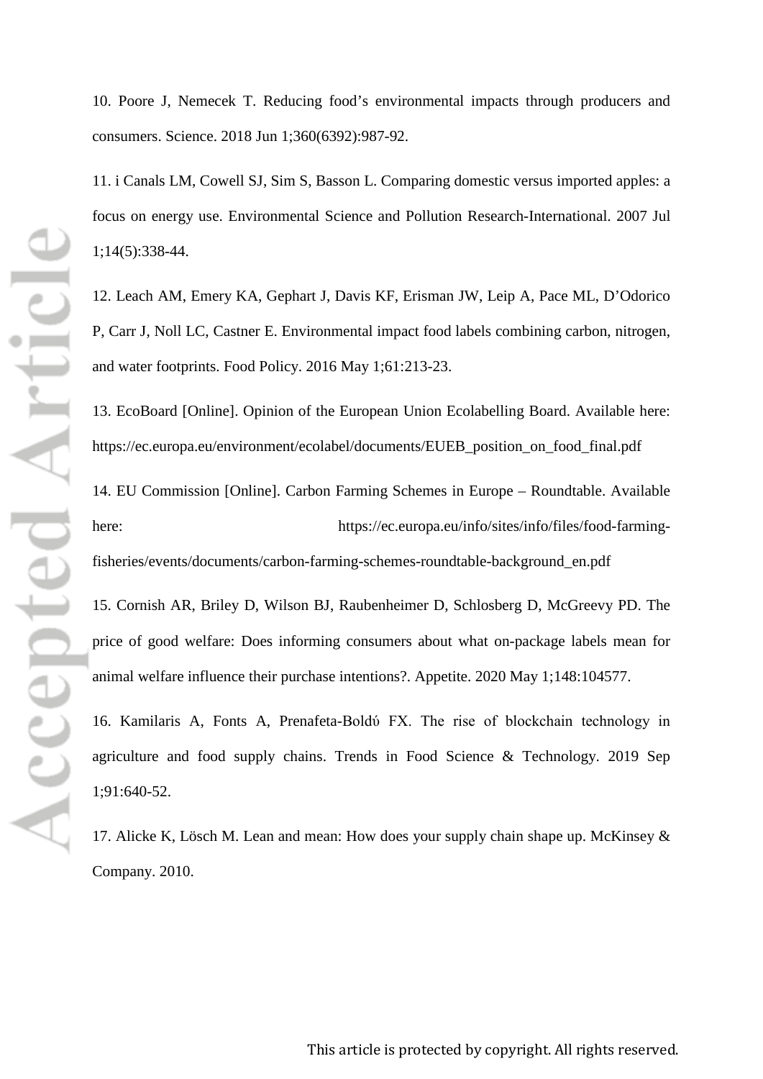10. Poore J, Nemecek T. Reducing food's environmental impacts through producers and consumers. Science. 2018 Jun 1;360(6392):987-92.

11. i Canals LM, Cowell SJ, Sim S, Basson L. Comparing domestic versus imported apples: a focus on energy use. Environmental Science and Pollution Research-International. 2007 Jul 1;14(5):338-44.

12. Leach AM, Emery KA, Gephart J, Davis KF, Erisman JW, Leip A, Pace ML, D'Odorico P, Carr J, Noll LC, Castner E. Environmental impact food labels combining carbon, nitrogen, and water footprints. Food Policy. 2016 May 1;61:213-23.

13. EcoBoard [Online]. Opinion of the European Union Ecolabelling Board. Available here: [https://ec.europa.eu/environment/ecolabel/documents/EUEB\\_position\\_on\\_food\\_final.pdf](https://ec.europa.eu/environment/ecolabel/documents/EUEB_position_on_food_final.pdf)

14. EU Commission [Online]. Carbon Farming Schemes in Europe – Roundtable. Available here: [https://ec.europa.eu/info/sites/info/files/food-farming](https://ec.europa.eu/info/sites/info/files/food-farming-fisheries/events/documents/carbon-farming-schemes-roundtable-background_en.pdf)[fisheries/events/documents/carbon-farming-schemes-roundtable-background\\_en.pdf](https://ec.europa.eu/info/sites/info/files/food-farming-fisheries/events/documents/carbon-farming-schemes-roundtable-background_en.pdf)

15. Cornish AR, Briley D, Wilson BJ, Raubenheimer D, Schlosberg D, McGreevy PD. The price of good welfare: Does informing consumers about what on-package labels mean for animal welfare influence their purchase intentions?. Appetite. 2020 May 1;148:104577.

16. Kamilaris A, Fonts A, Prenafeta-Boldύ FX. The rise of blockchain technology in agriculture and food supply chains. Trends in Food Science & Technology. 2019 Sep 1;91:640-52.

17. Alicke K, Lösch M. Lean and mean: How does your supply chain shape up. McKinsey & Company. 2010.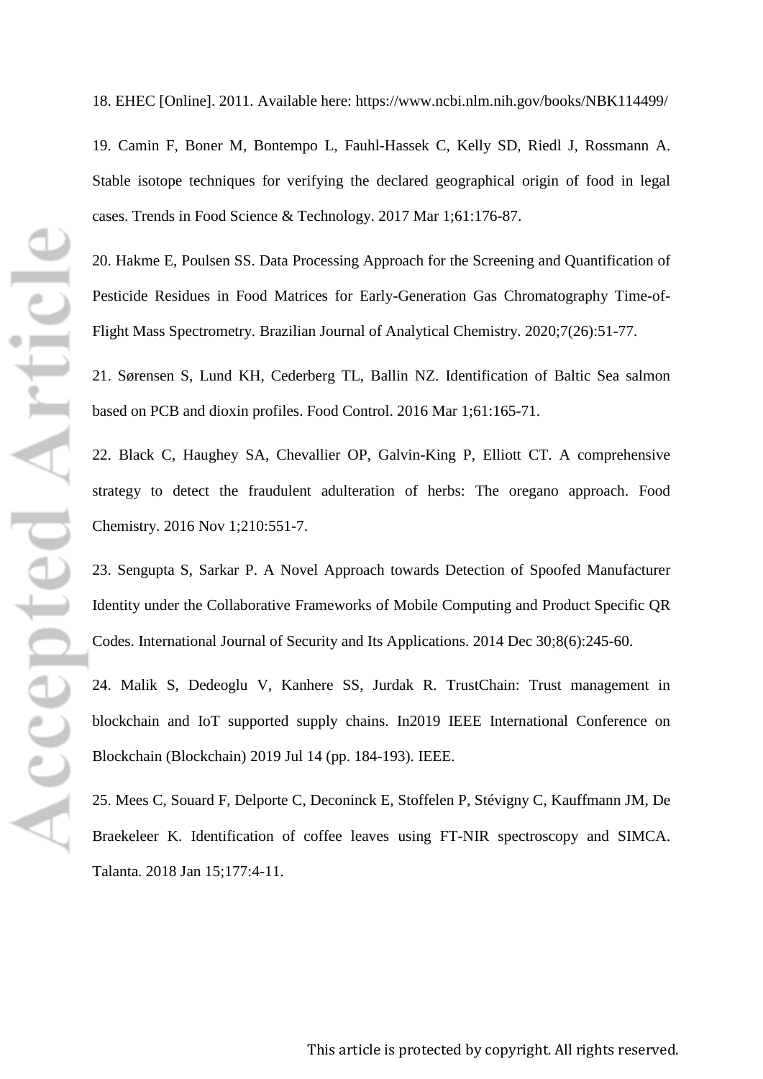Accepted Article

18. EHEC [Online]. 2011. Available here:<https://www.ncbi.nlm.nih.gov/books/NBK114499/>

19. Camin F, Boner M, Bontempo L, Fauhl-Hassek C, Kelly SD, Riedl J, Rossmann A. Stable isotope techniques for verifying the declared geographical origin of food in legal cases. Trends in Food Science & Technology. 2017 Mar 1;61:176-87.

20. Hakme E, Poulsen SS. Data Processing Approach for the Screening and Quantification of Pesticide Residues in Food Matrices for Early-Generation Gas Chromatography Time-of-Flight Mass Spectrometry. Brazilian Journal of Analytical Chemistry. 2020;7(26):51-77.

21. Sørensen S, Lund KH, Cederberg TL, Ballin NZ. Identification of Baltic Sea salmon based on PCB and dioxin profiles. Food Control. 2016 Mar 1;61:165-71.

22. Black C, Haughey SA, Chevallier OP, Galvin-King P, Elliott CT. A comprehensive strategy to detect the fraudulent adulteration of herbs: The oregano approach. Food Chemistry. 2016 Nov 1;210:551-7.

23. Sengupta S, Sarkar P. A Novel Approach towards Detection of Spoofed Manufacturer Identity under the Collaborative Frameworks of Mobile Computing and Product Specific QR Codes. International Journal of Security and Its Applications. 2014 Dec 30;8(6):245-60.

24. Malik S, Dedeoglu V, Kanhere SS, Jurdak R. TrustChain: Trust management in blockchain and IoT supported supply chains. In2019 IEEE International Conference on Blockchain (Blockchain) 2019 Jul 14 (pp. 184-193). IEEE.

25. Mees C, Souard F, Delporte C, Deconinck E, Stoffelen P, Stévigny C, Kauffmann JM, De Braekeleer K. Identification of coffee leaves using FT-NIR spectroscopy and SIMCA. Talanta. 2018 Jan 15;177:4-11.